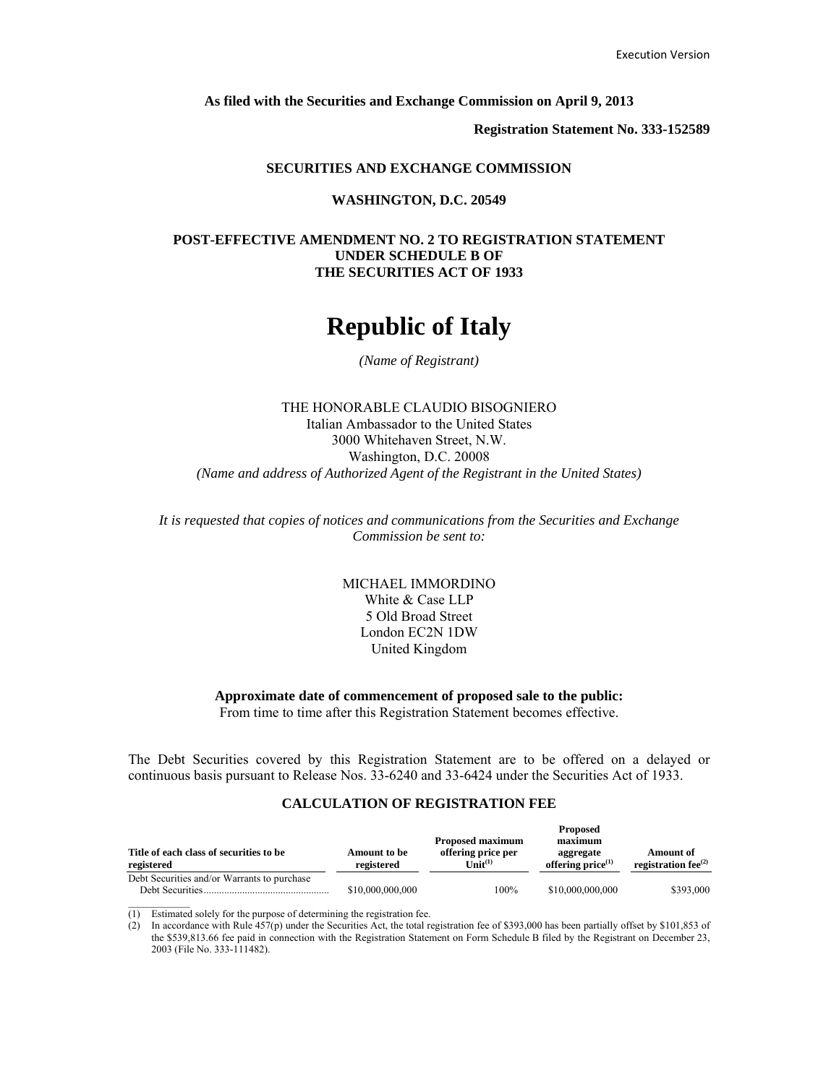**As filed with the Securities and Exchange Commission on April 9, 2013**

**Registration Statement No. 333-152589**

#### **SECURITIES AND EXCHANGE COMMISSION**

#### **WASHINGTON, D.C. 20549**

# **POST-EFFECTIVE AMENDMENT NO. 2 TO REGISTRATION STATEMENT UNDER SCHEDULE B OF THE SECURITIES ACT OF 1933**

# **Republic of Italy**

#### *(Name of Registrant)*

# THE HONORABLE CLAUDIO BISOGNIERO Italian Ambassador to the United States 3000 Whitehaven Street, N.W. Washington, D.C. 20008 *(Name and address of Authorized Agent of the Registrant in the United States)*

*It is requested that copies of notices and communications from the Securities and Exchange Commission be sent to:*

> MICHAEL IMMORDINO White & Case LLP 5 Old Broad Street London EC2N 1DW United Kingdom

# **Approximate date of commencement of proposed sale to the public:**

From time to time after this Registration Statement becomes effective.

The Debt Securities covered by this Registration Statement are to be offered on a delayed or continuous basis pursuant to Release Nos. 33-6240 and 33-6424 under the Securities Act of 1933.

#### **CALCULATION OF REGISTRATION FEE**

| Title of each class of securities to be<br>registered          | Amount to be<br>registered | <b>Proposed maximum</b><br>offering price per<br>$\text{Unit}^{(1)}$ | <b>Proposed</b><br>maximum<br>aggregate<br>offering $price^{(1)}$ | <b>Amount</b> of<br>registration fee $^{(2)}$ |
|----------------------------------------------------------------|----------------------------|----------------------------------------------------------------------|-------------------------------------------------------------------|-----------------------------------------------|
| Debt Securities and/or Warrants to purchase<br>Debt Securities | \$10,000,000,000           | 100%                                                                 | \$10,000,000,000                                                  | \$393,000                                     |

(1) Estimated solely for the purpose of determining the registration fee.

(2) In accordance with Rule  $457(p)$  under the Securities Act, the total registration fee of \$393,000 has been partially offset by \$101,853 of the \$539,813.66 fee paid in connection with the Registration Statement on Form Schedule B filed by the Registrant on December 23, 2003 (File No. 333-111482).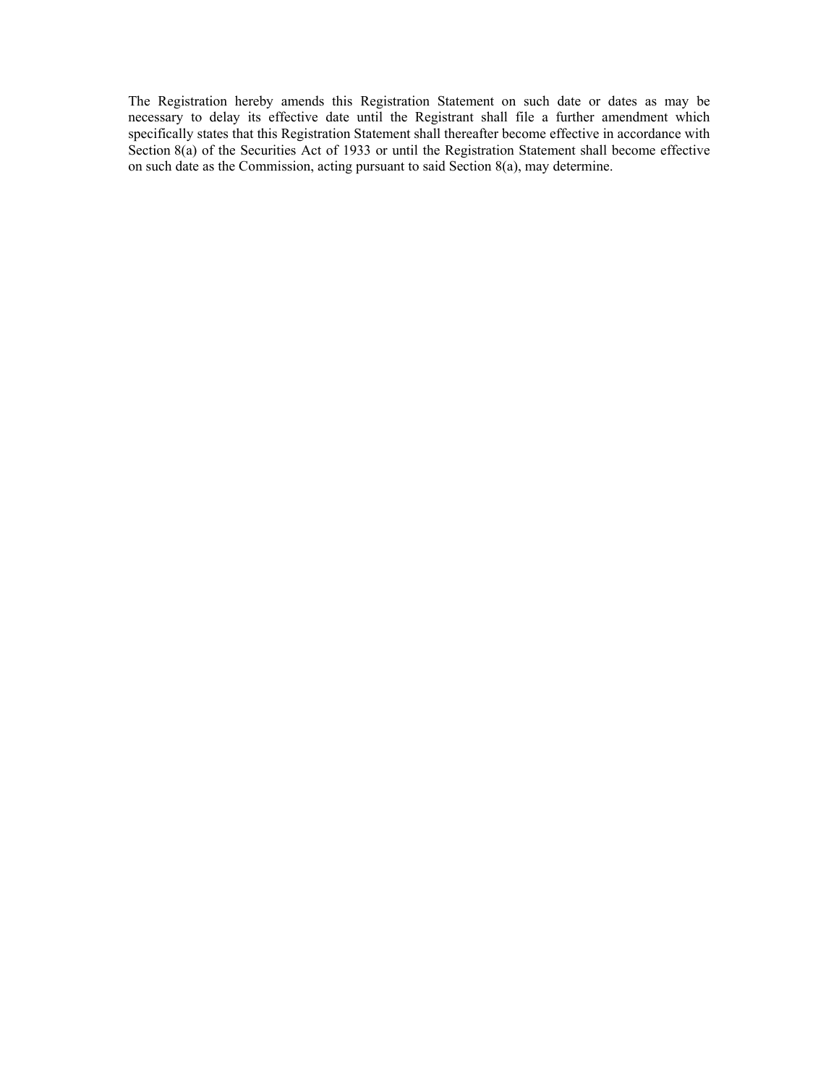The Registration hereby amends this Registration Statement on such date or dates as may be necessary to delay its effective date until the Registrant shall file a further amendment which specifically states that this Registration Statement shall thereafter become effective in accordance with Section 8(a) of the Securities Act of 1933 or until the Registration Statement shall become effective on such date as the Commission, acting pursuant to said Section 8(a), may determine.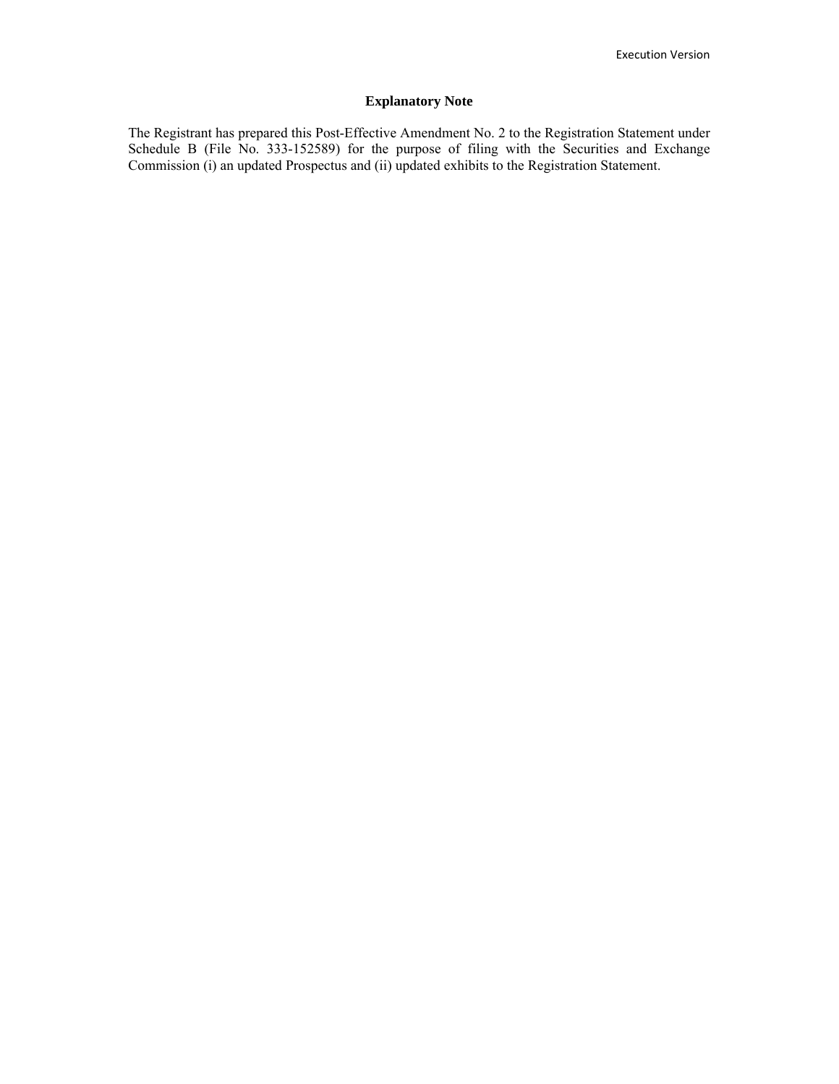# **Explanatory Note**

The Registrant has prepared this Post-Effective Amendment No. 2 to the Registration Statement under Schedule B (File No. 333-152589) for the purpose of filing with the Securities and Exchange Commission (i) an updated Prospectus and (ii) updated exhibits to the Registration Statement.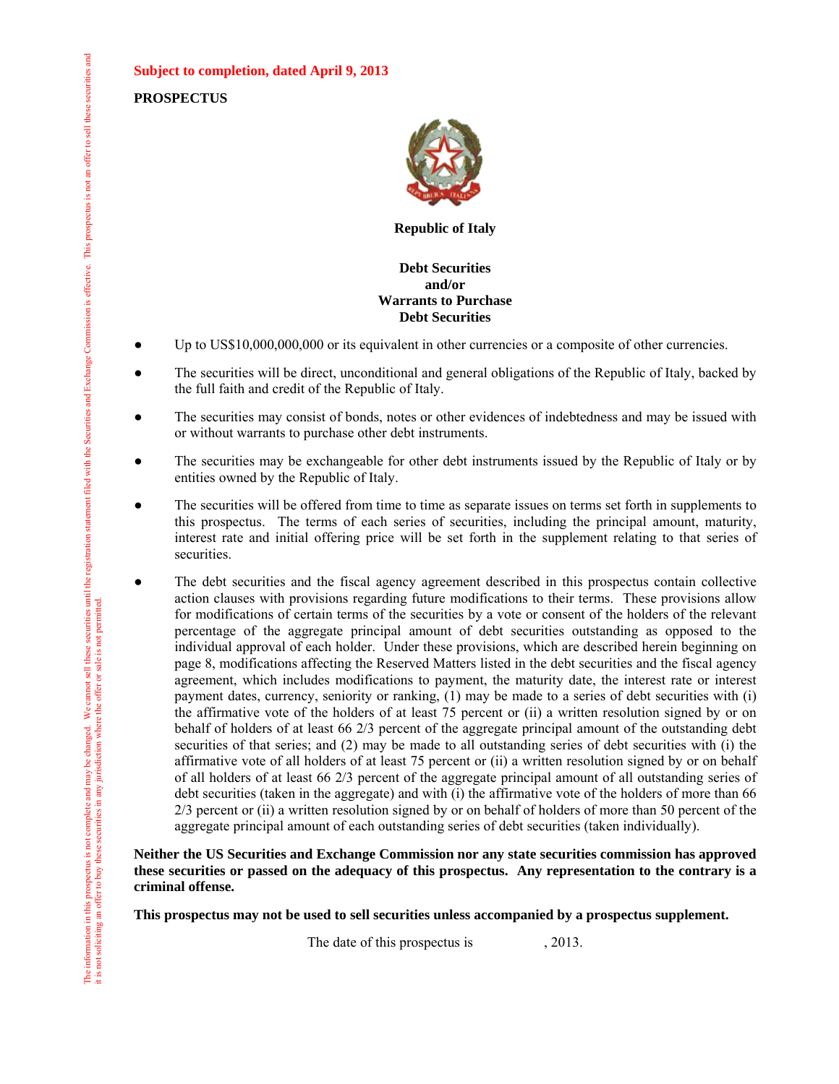**Subject to completion, dated April 9, 2013**

**PROSPECTUS**



**Republic of Italy**

# **Debt Securities and/or Warrants to Purchase Debt Securities**

- Up to US\$10,000,000,000 or its equivalent in other currencies or a composite of other currencies.
- The securities will be direct, unconditional and general obligations of the Republic of Italy, backed by the full faith and credit of the Republic of Italy.
- The securities may consist of bonds, notes or other evidences of indebtedness and may be issued with or without warrants to purchase other debt instruments.
- The securities may be exchangeable for other debt instruments issued by the Republic of Italy or by entities owned by the Republic of Italy.
- The securities will be offered from time to time as separate issues on terms set forth in supplements to this prospectus. The terms of each series of securities, including the principal amount, maturity, interest rate and initial offering price will be set forth in the supplement relating to that series of securities.
- The debt securities and the fiscal agency agreement described in this prospectus contain collective action clauses with provisions regarding future modifications to their terms. These provisions allow for modifications of certain terms of the securities by a vote or consent of the holders of the relevant percentage of the aggregate principal amount of debt securities outstanding as opposed to the individual approval of each holder. Under these provisions, which are described herein beginning on page 8, modifications affecting the Reserved Matters listed in the debt securities and the fiscal agency agreement, which includes modifications to payment, the maturity date, the interest rate or interest payment dates, currency, seniority or ranking, (1) may be made to a series of debt securities with (i) the affirmative vote of the holders of at least 75 percent or (ii) a written resolution signed by or on behalf of holders of at least 66 2/3 percent of the aggregate principal amount of the outstanding debt securities of that series; and (2) may be made to all outstanding series of debt securities with (i) the affirmative vote of all holders of at least 75 percent or (ii) a written resolution signed by or on behalf of all holders of at least 66 2/3 percent of the aggregate principal amount of all outstanding series of debt securities (taken in the aggregate) and with (i) the affirmative vote of the holders of more than 66 2/3 percent or (ii) a written resolution signed by or on behalf of holders of more than 50 percent of the aggregate principal amount of each outstanding series of debt securities (taken individually).

# **Neither the US Securities and Exchange Commission nor any state securities commission has approved these securities or passed on the adequacy of this prospectus. Any representation to the contrary is a criminal offense.**

**This prospectus may not be used to sell securities unless accompanied by a prospectus supplement.**

The date of this prospectus is , 2013.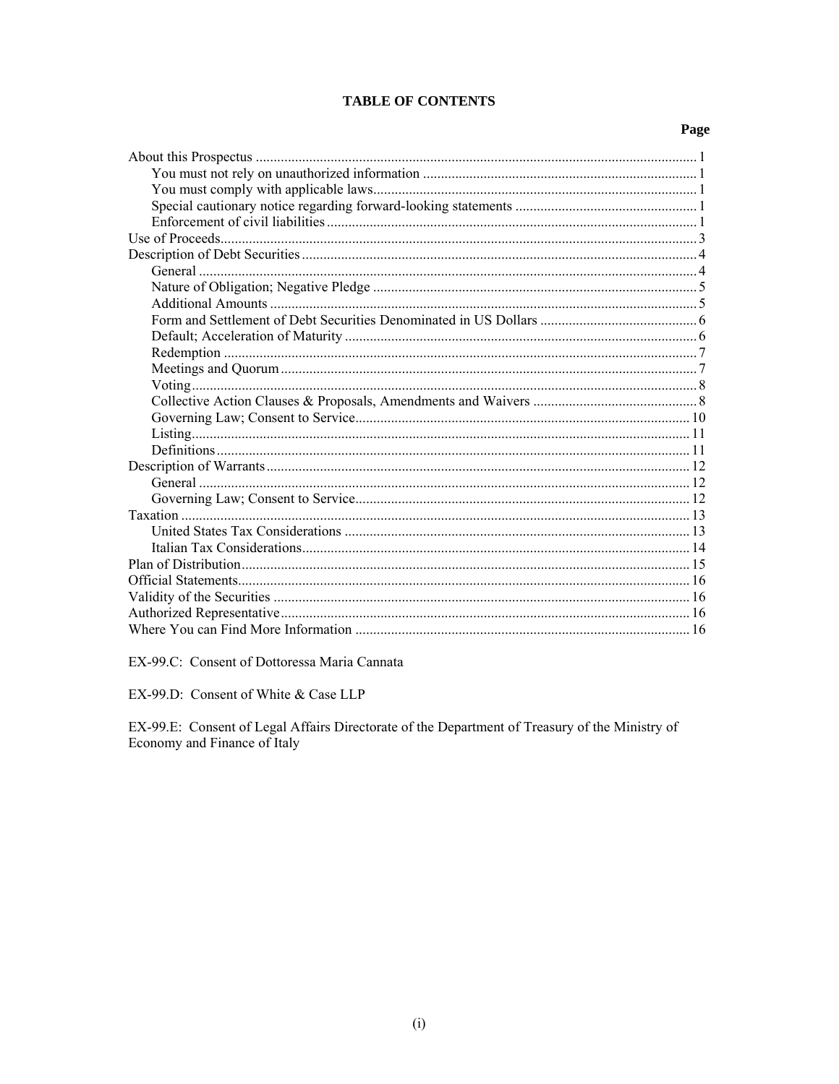# **TABLE OF CONTENTS**

# Page

EX-99.C: Consent of Dottoressa Maria Cannata

EX-99.D: Consent of White & Case LLP

EX-99.E: Consent of Legal Affairs Directorate of the Department of Treasury of the Ministry of Economy and Finance of Italy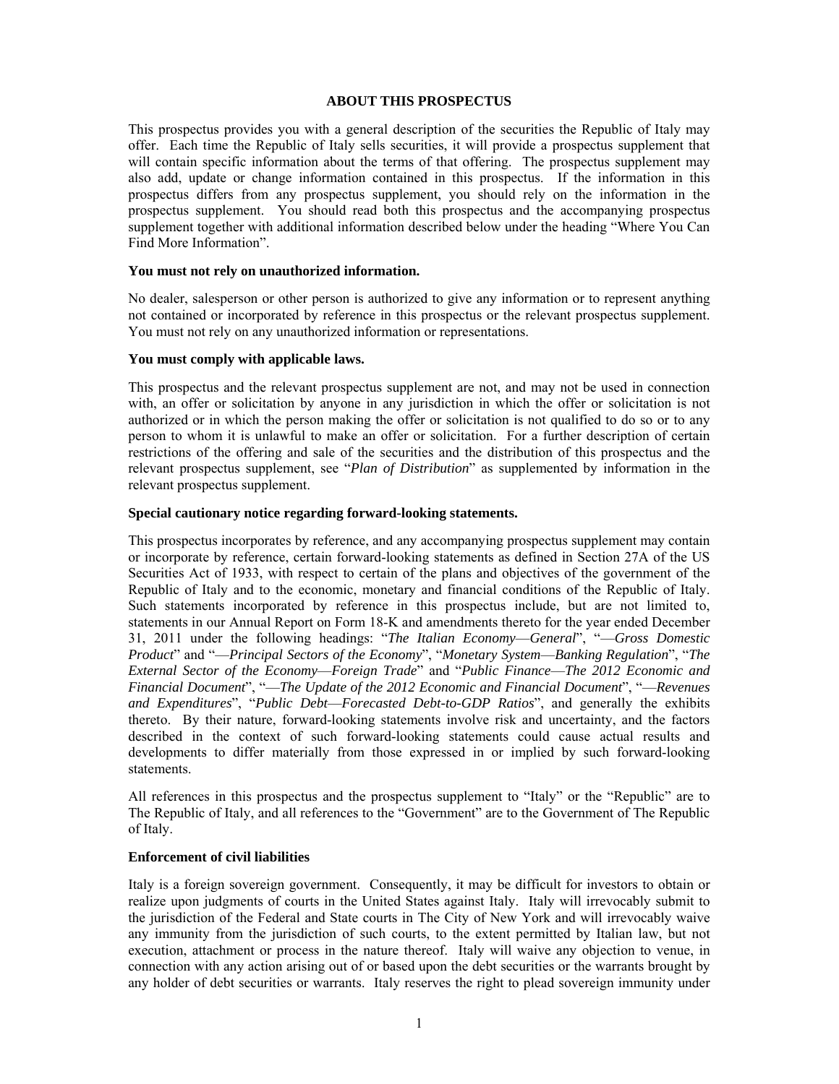#### **ABOUT THIS PROSPECTUS**

This prospectus provides you with a general description of the securities the Republic of Italy may offer. Each time the Republic of Italy sells securities, it will provide a prospectus supplement that will contain specific information about the terms of that offering. The prospectus supplement may also add, update or change information contained in this prospectus. If the information in this prospectus differs from any prospectus supplement, you should rely on the information in the prospectus supplement. You should read both this prospectus and the accompanying prospectus supplement together with additional information described below under the heading "Where You Can Find More Information".

#### **You must not rely on unauthorized information.**

No dealer, salesperson or other person is authorized to give any information or to represent anything not contained or incorporated by reference in this prospectus or the relevant prospectus supplement. You must not rely on any unauthorized information or representations.

#### **You must comply with applicable laws.**

This prospectus and the relevant prospectus supplement are not, and may not be used in connection with, an offer or solicitation by anyone in any jurisdiction in which the offer or solicitation is not authorized or in which the person making the offer or solicitation is not qualified to do so or to any person to whom it is unlawful to make an offer or solicitation. For a further description of certain restrictions of the offering and sale of the securities and the distribution of this prospectus and the relevant prospectus supplement, see "*Plan of Distribution*" as supplemented by information in the relevant prospectus supplement.

#### **Special cautionary notice regarding forward-looking statements.**

This prospectus incorporates by reference, and any accompanying prospectus supplement may contain or incorporate by reference, certain forward-looking statements as defined in Section 27A of the US Securities Act of 1933, with respect to certain of the plans and objectives of the government of the Republic of Italy and to the economic, monetary and financial conditions of the Republic of Italy. Such statements incorporated by reference in this prospectus include, but are not limited to, statements in our Annual Report on Form 18-K and amendments thereto for the year ended December 31, 2011 under the following headings: "*The Italian Economy*—*General*", "—*Gross Domestic Product*" and "—*Principal Sectors of the Economy*", "*Monetary System*—*Banking Regulation*", "*The External Sector of the Economy*—*Foreign Trade*" and "*Public Finance*—*The 2012 Economic and Financial Document*", "—*The Update of the 2012 Economic and Financial Document*", "—*Revenues and Expenditures*", "*Public Debt*—*Forecasted Debt-to-GDP Ratios*", and generally the exhibits thereto. By their nature, forward-looking statements involve risk and uncertainty, and the factors described in the context of such forward-looking statements could cause actual results and developments to differ materially from those expressed in or implied by such forward-looking statements.

All references in this prospectus and the prospectus supplement to "Italy" or the "Republic" are to The Republic of Italy, and all references to the "Government" are to the Government of The Republic of Italy.

# **Enforcement of civil liabilities**

Italy is a foreign sovereign government. Consequently, it may be difficult for investors to obtain or realize upon judgments of courts in the United States against Italy. Italy will irrevocably submit to the jurisdiction of the Federal and State courts in The City of New York and will irrevocably waive any immunity from the jurisdiction of such courts, to the extent permitted by Italian law, but not execution, attachment or process in the nature thereof. Italy will waive any objection to venue, in connection with any action arising out of or based upon the debt securities or the warrants brought by any holder of debt securities or warrants. Italy reserves the right to plead sovereign immunity under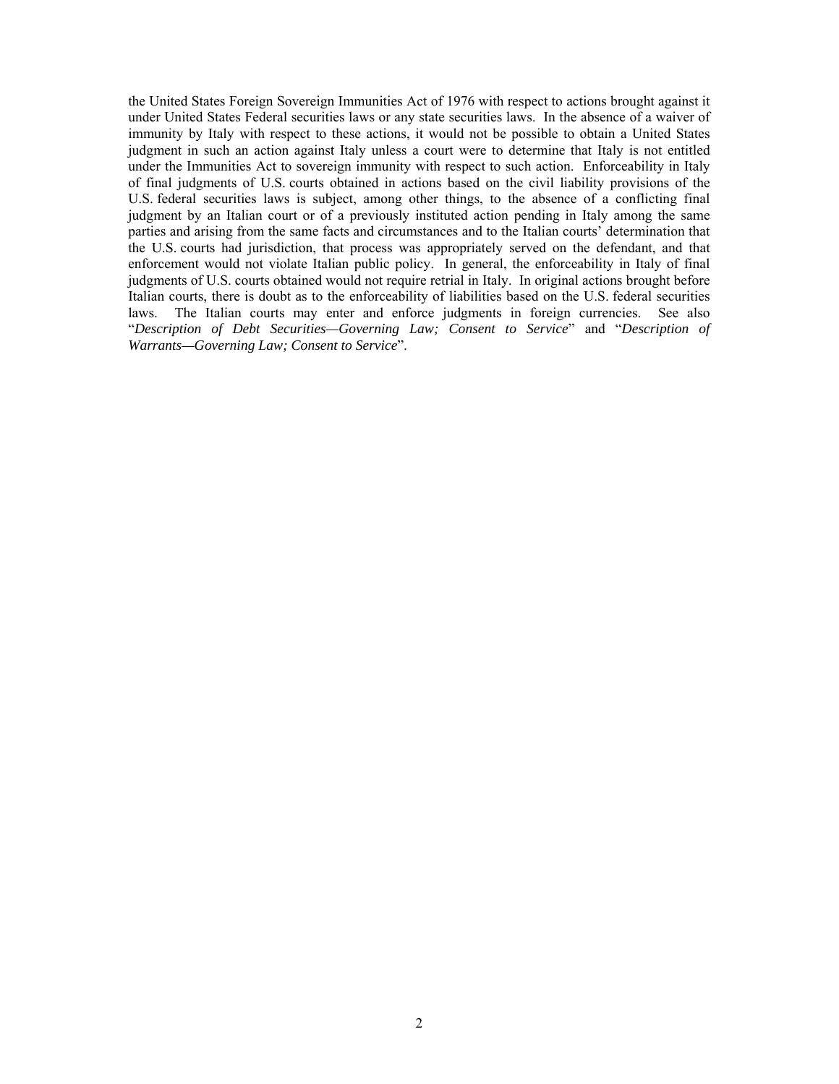the United States Foreign Sovereign Immunities Act of 1976 with respect to actions brought against it under United States Federal securities laws or any state securities laws. In the absence of a waiver of immunity by Italy with respect to these actions, it would not be possible to obtain a United States judgment in such an action against Italy unless a court were to determine that Italy is not entitled under the Immunities Act to sovereign immunity with respect to such action. Enforceability in Italy of final judgments of U.S. courts obtained in actions based on the civil liability provisions of the U.S. federal securities laws is subject, among other things, to the absence of a conflicting final judgment by an Italian court or of a previously instituted action pending in Italy among the same parties and arising from the same facts and circumstances and to the Italian courts' determination that the U.S. courts had jurisdiction, that process was appropriately served on the defendant, and that enforcement would not violate Italian public policy. In general, the enforceability in Italy of final judgments of U.S. courts obtained would not require retrial in Italy. In original actions brought before Italian courts, there is doubt as to the enforceability of liabilities based on the U.S. federal securities laws. The Italian courts may enter and enforce judgments in foreign currencies. See also "*Description of Debt Securities—Governing Law; Consent to Service*" and "*Description of Warrants—Governing Law; Consent to Service*".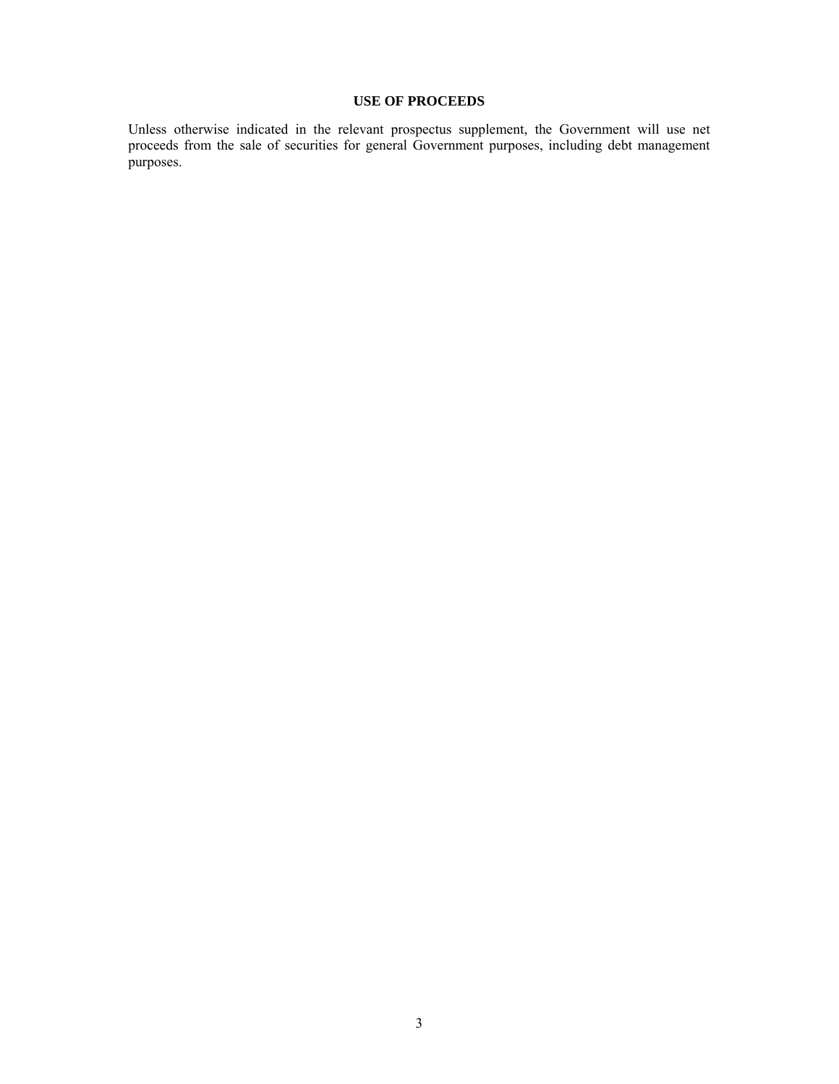# **USE OF PROCEEDS**

Unless otherwise indicated in the relevant prospectus supplement, the Government will use net proceeds from the sale of securities for general Government purposes, including debt management purposes.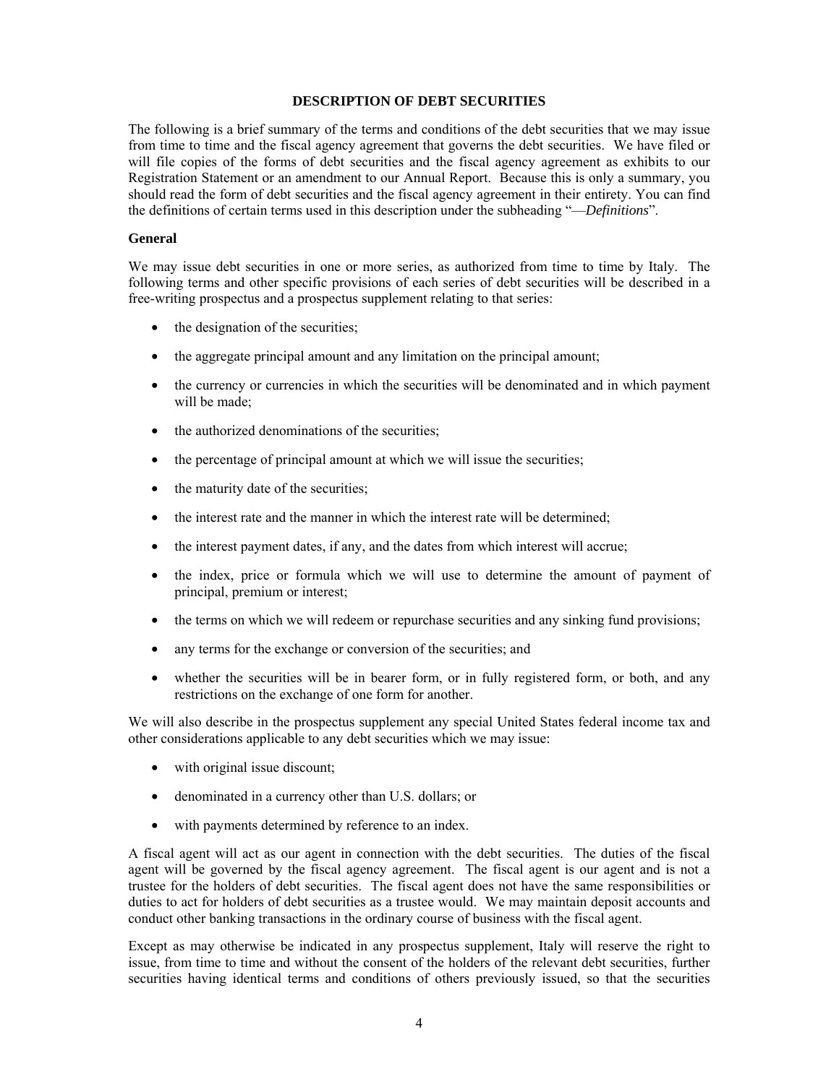#### **DESCRIPTION OF DEBT SECURITIES**

The following is a brief summary of the terms and conditions of the debt securities that we may issue from time to time and the fiscal agency agreement that governs the debt securities. We have filed or will file copies of the forms of debt securities and the fiscal agency agreement as exhibits to our Registration Statement or an amendment to our Annual Report. Because this is only a summary, you should read the form of debt securities and the fiscal agency agreement in their entirety. You can find the definitions of certain terms used in this description under the subheading "—*Definitions*".

#### **General**

We may issue debt securities in one or more series, as authorized from time to time by Italy. The following terms and other specific provisions of each series of debt securities will be described in a free-writing prospectus and a prospectus supplement relating to that series:

- the designation of the securities;
- the aggregate principal amount and any limitation on the principal amount;
- the currency or currencies in which the securities will be denominated and in which payment will be made;
- the authorized denominations of the securities;
- the percentage of principal amount at which we will issue the securities;
- the maturity date of the securities;
- the interest rate and the manner in which the interest rate will be determined;
- the interest payment dates, if any, and the dates from which interest will accrue;
- the index, price or formula which we will use to determine the amount of payment of principal, premium or interest;
- the terms on which we will redeem or repurchase securities and any sinking fund provisions;
- any terms for the exchange or conversion of the securities; and
- whether the securities will be in bearer form, or in fully registered form, or both, and any restrictions on the exchange of one form for another.

We will also describe in the prospectus supplement any special United States federal income tax and other considerations applicable to any debt securities which we may issue:

- with original issue discount;
- denominated in a currency other than U.S. dollars; or
- with payments determined by reference to an index.

A fiscal agent will act as our agent in connection with the debt securities. The duties of the fiscal agent will be governed by the fiscal agency agreement. The fiscal agent is our agent and is not a trustee for the holders of debt securities. The fiscal agent does not have the same responsibilities or duties to act for holders of debt securities as a trustee would. We may maintain deposit accounts and conduct other banking transactions in the ordinary course of business with the fiscal agent.

Except as may otherwise be indicated in any prospectus supplement, Italy will reserve the right to issue, from time to time and without the consent of the holders of the relevant debt securities, further securities having identical terms and conditions of others previously issued, so that the securities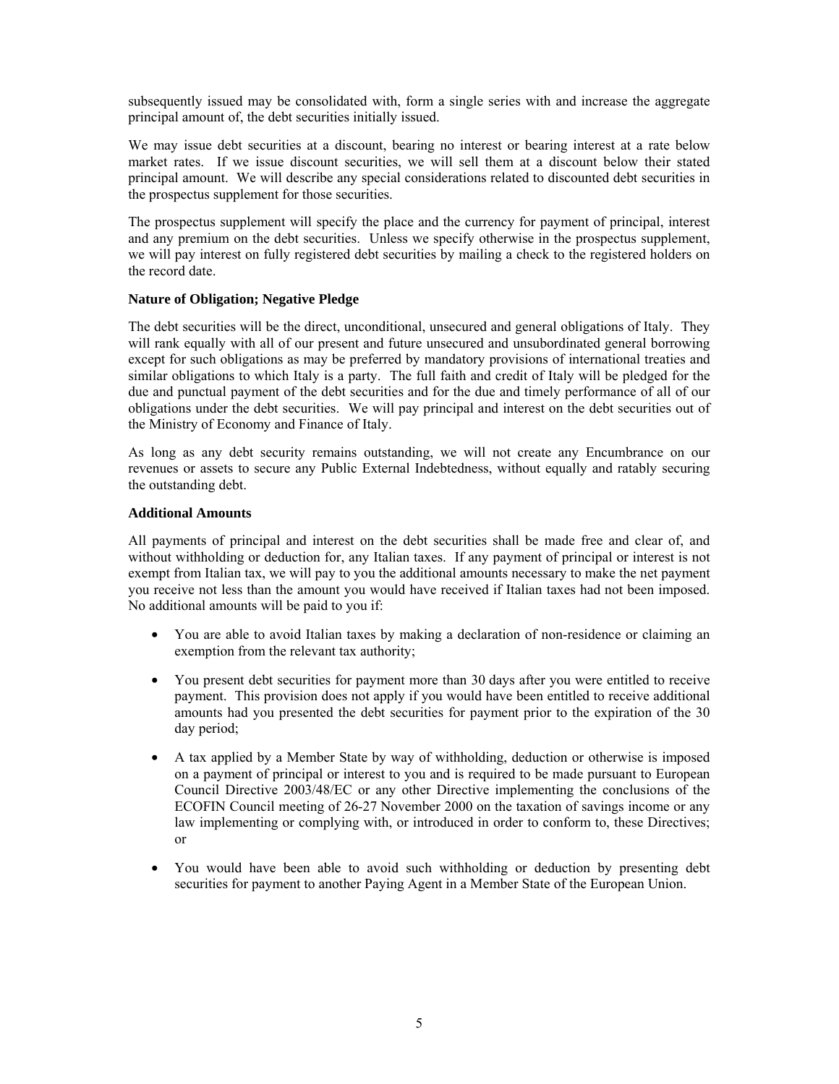subsequently issued may be consolidated with, form a single series with and increase the aggregate principal amount of, the debt securities initially issued.

We may issue debt securities at a discount, bearing no interest or bearing interest at a rate below market rates. If we issue discount securities, we will sell them at a discount below their stated principal amount. We will describe any special considerations related to discounted debt securities in the prospectus supplement for those securities.

The prospectus supplement will specify the place and the currency for payment of principal, interest and any premium on the debt securities. Unless we specify otherwise in the prospectus supplement, we will pay interest on fully registered debt securities by mailing a check to the registered holders on the record date.

# **Nature of Obligation; Negative Pledge**

The debt securities will be the direct, unconditional, unsecured and general obligations of Italy. They will rank equally with all of our present and future unsecured and unsubordinated general borrowing except for such obligations as may be preferred by mandatory provisions of international treaties and similar obligations to which Italy is a party. The full faith and credit of Italy will be pledged for the due and punctual payment of the debt securities and for the due and timely performance of all of our obligations under the debt securities. We will pay principal and interest on the debt securities out of the Ministry of Economy and Finance of Italy.

As long as any debt security remains outstanding, we will not create any Encumbrance on our revenues or assets to secure any Public External Indebtedness, without equally and ratably securing the outstanding debt.

# **Additional Amounts**

All payments of principal and interest on the debt securities shall be made free and clear of, and without withholding or deduction for, any Italian taxes. If any payment of principal or interest is not exempt from Italian tax, we will pay to you the additional amounts necessary to make the net payment you receive not less than the amount you would have received if Italian taxes had not been imposed. No additional amounts will be paid to you if:

- You are able to avoid Italian taxes by making a declaration of non-residence or claiming an exemption from the relevant tax authority;
- You present debt securities for payment more than 30 days after you were entitled to receive payment. This provision does not apply if you would have been entitled to receive additional amounts had you presented the debt securities for payment prior to the expiration of the 30 day period;
- A tax applied by a Member State by way of withholding, deduction or otherwise is imposed on a payment of principal or interest to you and is required to be made pursuant to European Council Directive 2003/48/EC or any other Directive implementing the conclusions of the ECOFIN Council meeting of 26-27 November 2000 on the taxation of savings income or any law implementing or complying with, or introduced in order to conform to, these Directives; or
- You would have been able to avoid such withholding or deduction by presenting debt securities for payment to another Paying Agent in a Member State of the European Union.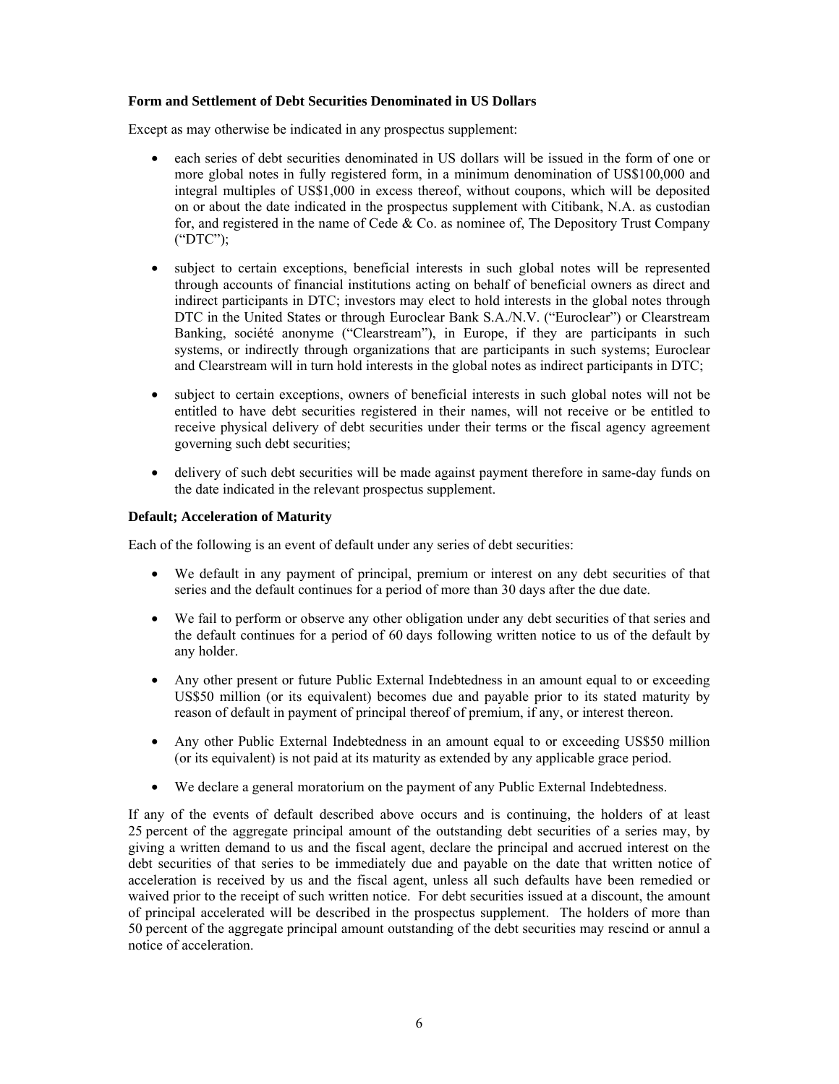# **Form and Settlement of Debt Securities Denominated in US Dollars**

Except as may otherwise be indicated in any prospectus supplement:

- each series of debt securities denominated in US dollars will be issued in the form of one or more global notes in fully registered form, in a minimum denomination of US\$100,000 and integral multiples of US\$1,000 in excess thereof, without coupons, which will be deposited on or about the date indicated in the prospectus supplement with Citibank, N.A. as custodian for, and registered in the name of Cede  $\&$  Co. as nominee of, The Depository Trust Company ("DTC");
- subject to certain exceptions, beneficial interests in such global notes will be represented through accounts of financial institutions acting on behalf of beneficial owners as direct and indirect participants in DTC; investors may elect to hold interests in the global notes through DTC in the United States or through Euroclear Bank S.A./N.V. ("Euroclear") or Clearstream Banking, société anonyme ("Clearstream"), in Europe, if they are participants in such systems, or indirectly through organizations that are participants in such systems; Euroclear and Clearstream will in turn hold interests in the global notes as indirect participants in DTC;
- subject to certain exceptions, owners of beneficial interests in such global notes will not be entitled to have debt securities registered in their names, will not receive or be entitled to receive physical delivery of debt securities under their terms or the fiscal agency agreement governing such debt securities;
- delivery of such debt securities will be made against payment therefore in same-day funds on the date indicated in the relevant prospectus supplement.

# **Default; Acceleration of Maturity**

Each of the following is an event of default under any series of debt securities:

- We default in any payment of principal, premium or interest on any debt securities of that series and the default continues for a period of more than 30 days after the due date.
- We fail to perform or observe any other obligation under any debt securities of that series and the default continues for a period of 60 days following written notice to us of the default by any holder.
- Any other present or future Public External Indebtedness in an amount equal to or exceeding US\$50 million (or its equivalent) becomes due and payable prior to its stated maturity by reason of default in payment of principal thereof of premium, if any, or interest thereon.
- Any other Public External Indebtedness in an amount equal to or exceeding US\$50 million (or its equivalent) is not paid at its maturity as extended by any applicable grace period.
- We declare a general moratorium on the payment of any Public External Indebtedness.

If any of the events of default described above occurs and is continuing, the holders of at least 25 percent of the aggregate principal amount of the outstanding debt securities of a series may, by giving a written demand to us and the fiscal agent, declare the principal and accrued interest on the debt securities of that series to be immediately due and payable on the date that written notice of acceleration is received by us and the fiscal agent, unless all such defaults have been remedied or waived prior to the receipt of such written notice. For debt securities issued at a discount, the amount of principal accelerated will be described in the prospectus supplement. The holders of more than 50 percent of the aggregate principal amount outstanding of the debt securities may rescind or annul a notice of acceleration.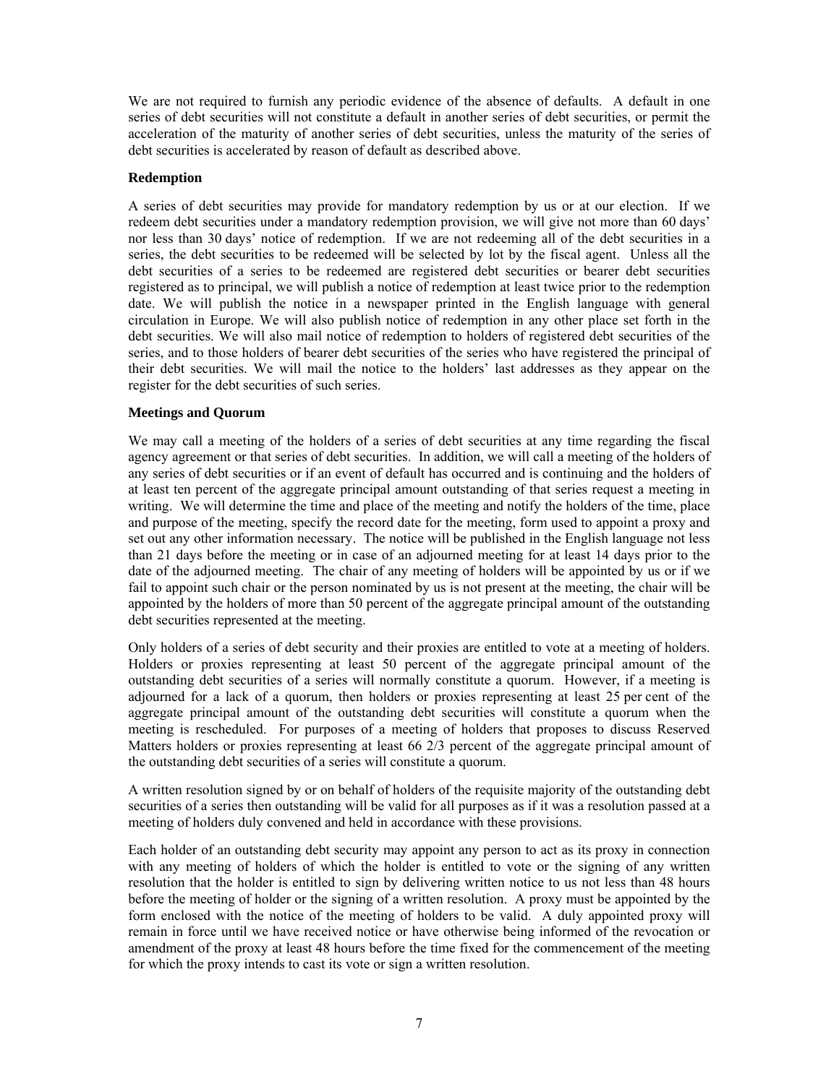We are not required to furnish any periodic evidence of the absence of defaults. A default in one series of debt securities will not constitute a default in another series of debt securities, or permit the acceleration of the maturity of another series of debt securities, unless the maturity of the series of debt securities is accelerated by reason of default as described above.

# **Redemption**

A series of debt securities may provide for mandatory redemption by us or at our election. If we redeem debt securities under a mandatory redemption provision, we will give not more than 60 days' nor less than 30 days' notice of redemption. If we are not redeeming all of the debt securities in a series, the debt securities to be redeemed will be selected by lot by the fiscal agent. Unless all the debt securities of a series to be redeemed are registered debt securities or bearer debt securities registered as to principal, we will publish a notice of redemption at least twice prior to the redemption date. We will publish the notice in a newspaper printed in the English language with general circulation in Europe. We will also publish notice of redemption in any other place set forth in the debt securities. We will also mail notice of redemption to holders of registered debt securities of the series, and to those holders of bearer debt securities of the series who have registered the principal of their debt securities. We will mail the notice to the holders' last addresses as they appear on the register for the debt securities of such series.

# **Meetings and Quorum**

We may call a meeting of the holders of a series of debt securities at any time regarding the fiscal agency agreement or that series of debt securities. In addition, we will call a meeting of the holders of any series of debt securities or if an event of default has occurred and is continuing and the holders of at least ten percent of the aggregate principal amount outstanding of that series request a meeting in writing. We will determine the time and place of the meeting and notify the holders of the time, place and purpose of the meeting, specify the record date for the meeting, form used to appoint a proxy and set out any other information necessary. The notice will be published in the English language not less than 21 days before the meeting or in case of an adjourned meeting for at least 14 days prior to the date of the adjourned meeting. The chair of any meeting of holders will be appointed by us or if we fail to appoint such chair or the person nominated by us is not present at the meeting, the chair will be appointed by the holders of more than 50 percent of the aggregate principal amount of the outstanding debt securities represented at the meeting.

Only holders of a series of debt security and their proxies are entitled to vote at a meeting of holders. Holders or proxies representing at least 50 percent of the aggregate principal amount of the outstanding debt securities of a series will normally constitute a quorum. However, if a meeting is adjourned for a lack of a quorum, then holders or proxies representing at least 25 per cent of the aggregate principal amount of the outstanding debt securities will constitute a quorum when the meeting is rescheduled. For purposes of a meeting of holders that proposes to discuss Reserved Matters holders or proxies representing at least 66 2/3 percent of the aggregate principal amount of the outstanding debt securities of a series will constitute a quorum.

A written resolution signed by or on behalf of holders of the requisite majority of the outstanding debt securities of a series then outstanding will be valid for all purposes as if it was a resolution passed at a meeting of holders duly convened and held in accordance with these provisions.

Each holder of an outstanding debt security may appoint any person to act as its proxy in connection with any meeting of holders of which the holder is entitled to vote or the signing of any written resolution that the holder is entitled to sign by delivering written notice to us not less than 48 hours before the meeting of holder or the signing of a written resolution. A proxy must be appointed by the form enclosed with the notice of the meeting of holders to be valid. A duly appointed proxy will remain in force until we have received notice or have otherwise being informed of the revocation or amendment of the proxy at least 48 hours before the time fixed for the commencement of the meeting for which the proxy intends to cast its vote or sign a written resolution.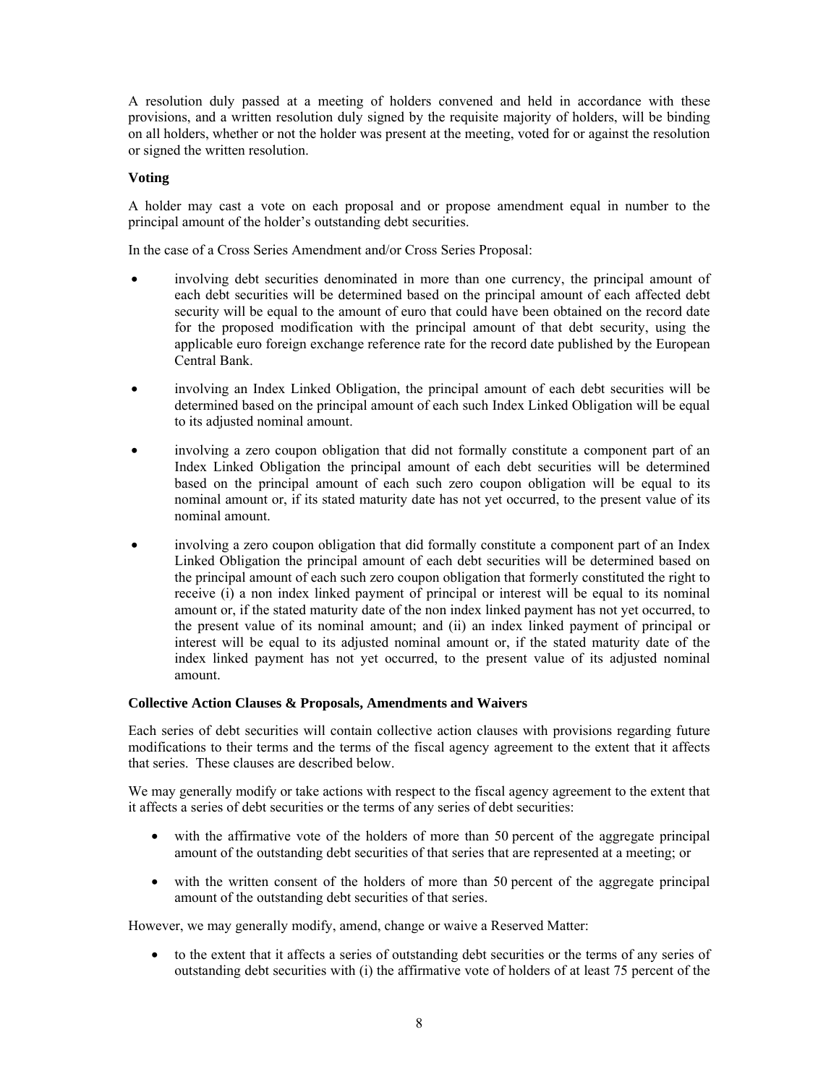A resolution duly passed at a meeting of holders convened and held in accordance with these provisions, and a written resolution duly signed by the requisite majority of holders, will be binding on all holders, whether or not the holder was present at the meeting, voted for or against the resolution or signed the written resolution.

# **Voting**

A holder may cast a vote on each proposal and or propose amendment equal in number to the principal amount of the holder's outstanding debt securities.

In the case of a Cross Series Amendment and/or Cross Series Proposal:

- involving debt securities denominated in more than one currency, the principal amount of each debt securities will be determined based on the principal amount of each affected debt security will be equal to the amount of euro that could have been obtained on the record date for the proposed modification with the principal amount of that debt security, using the applicable euro foreign exchange reference rate for the record date published by the European Central Bank.
- involving an Index Linked Obligation, the principal amount of each debt securities will be determined based on the principal amount of each such Index Linked Obligation will be equal to its adjusted nominal amount.
- involving a zero coupon obligation that did not formally constitute a component part of an Index Linked Obligation the principal amount of each debt securities will be determined based on the principal amount of each such zero coupon obligation will be equal to its nominal amount or, if its stated maturity date has not yet occurred, to the present value of its nominal amount.
- involving a zero coupon obligation that did formally constitute a component part of an Index Linked Obligation the principal amount of each debt securities will be determined based on the principal amount of each such zero coupon obligation that formerly constituted the right to receive (i) a non index linked payment of principal or interest will be equal to its nominal amount or, if the stated maturity date of the non index linked payment has not yet occurred, to the present value of its nominal amount; and (ii) an index linked payment of principal or interest will be equal to its adjusted nominal amount or, if the stated maturity date of the index linked payment has not yet occurred, to the present value of its adjusted nominal amount.

# **Collective Action Clauses & Proposals, Amendments and Waivers**

Each series of debt securities will contain collective action clauses with provisions regarding future modifications to their terms and the terms of the fiscal agency agreement to the extent that it affects that series. These clauses are described below.

We may generally modify or take actions with respect to the fiscal agency agreement to the extent that it affects a series of debt securities or the terms of any series of debt securities:

- with the affirmative vote of the holders of more than 50 percent of the aggregate principal amount of the outstanding debt securities of that series that are represented at a meeting; or
- with the written consent of the holders of more than 50 percent of the aggregate principal amount of the outstanding debt securities of that series.

However, we may generally modify, amend, change or waive a Reserved Matter:

• to the extent that it affects a series of outstanding debt securities or the terms of any series of outstanding debt securities with (i) the affirmative vote of holders of at least 75 percent of the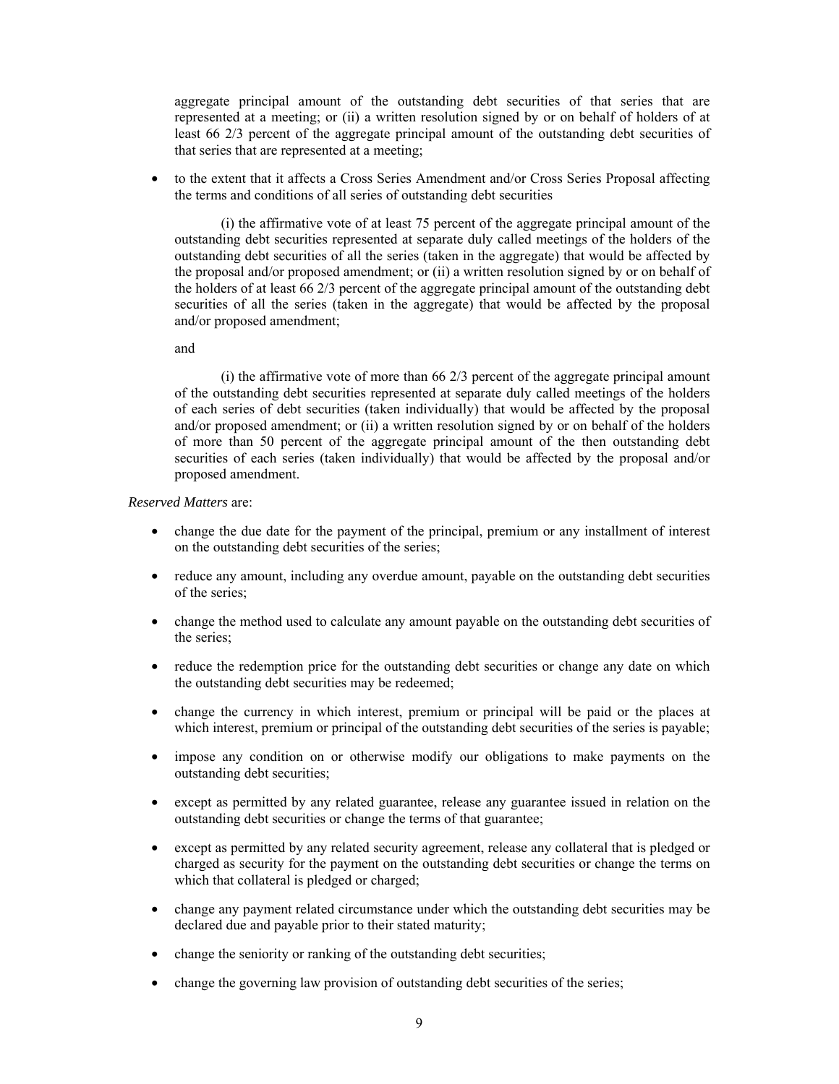aggregate principal amount of the outstanding debt securities of that series that are represented at a meeting; or (ii) a written resolution signed by or on behalf of holders of at least 66 2/3 percent of the aggregate principal amount of the outstanding debt securities of that series that are represented at a meeting;

• to the extent that it affects a Cross Series Amendment and/or Cross Series Proposal affecting the terms and conditions of all series of outstanding debt securities

 (i) the affirmative vote of at least 75 percent of the aggregate principal amount of the outstanding debt securities represented at separate duly called meetings of the holders of the outstanding debt securities of all the series (taken in the aggregate) that would be affected by the proposal and/or proposed amendment; or (ii) a written resolution signed by or on behalf of the holders of at least 66 2/3 percent of the aggregate principal amount of the outstanding debt securities of all the series (taken in the aggregate) that would be affected by the proposal and/or proposed amendment;

and

(i) the affirmative vote of more than  $66\frac{2}{3}$  percent of the aggregate principal amount of the outstanding debt securities represented at separate duly called meetings of the holders of each series of debt securities (taken individually) that would be affected by the proposal and/or proposed amendment; or (ii) a written resolution signed by or on behalf of the holders of more than 50 percent of the aggregate principal amount of the then outstanding debt securities of each series (taken individually) that would be affected by the proposal and/or proposed amendment.

*Reserved Matters* are:

- change the due date for the payment of the principal, premium or any installment of interest on the outstanding debt securities of the series;
- reduce any amount, including any overdue amount, payable on the outstanding debt securities of the series;
- change the method used to calculate any amount payable on the outstanding debt securities of the series;
- reduce the redemption price for the outstanding debt securities or change any date on which the outstanding debt securities may be redeemed;
- change the currency in which interest, premium or principal will be paid or the places at which interest, premium or principal of the outstanding debt securities of the series is payable;
- impose any condition on or otherwise modify our obligations to make payments on the outstanding debt securities;
- except as permitted by any related guarantee, release any guarantee issued in relation on the outstanding debt securities or change the terms of that guarantee;
- except as permitted by any related security agreement, release any collateral that is pledged or charged as security for the payment on the outstanding debt securities or change the terms on which that collateral is pledged or charged;
- change any payment related circumstance under which the outstanding debt securities may be declared due and payable prior to their stated maturity;
- change the seniority or ranking of the outstanding debt securities;
- change the governing law provision of outstanding debt securities of the series;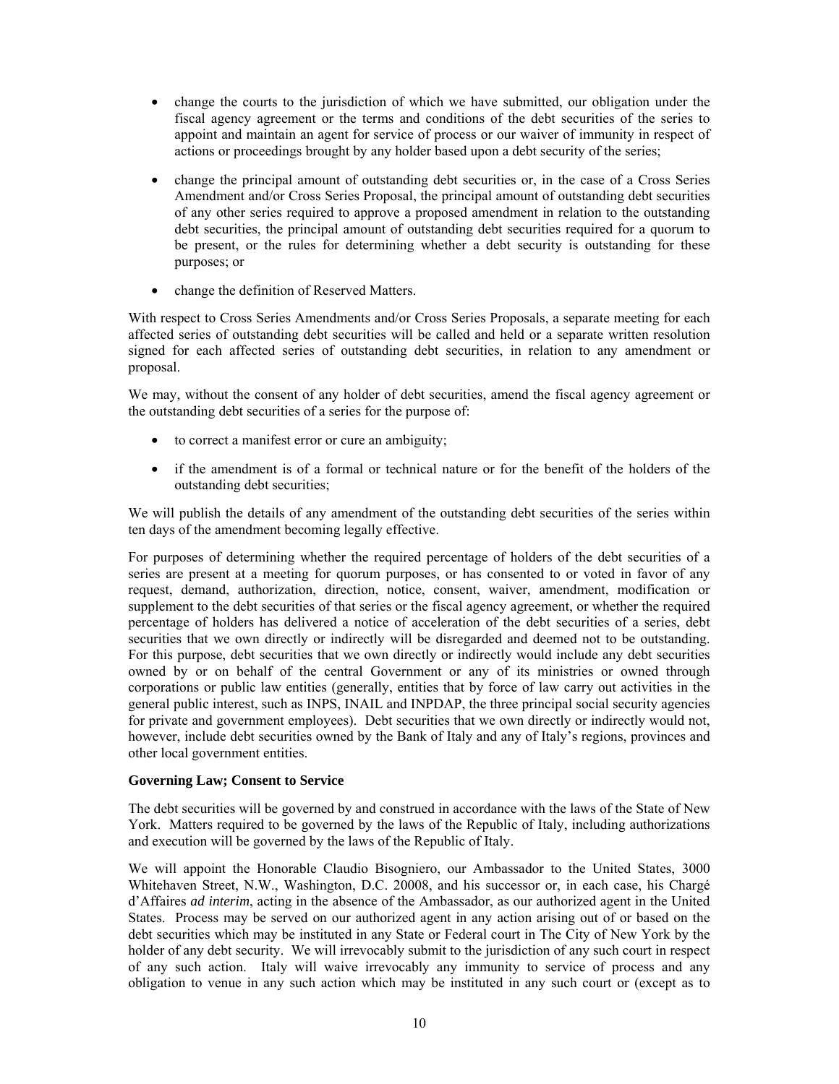- change the courts to the jurisdiction of which we have submitted, our obligation under the fiscal agency agreement or the terms and conditions of the debt securities of the series to appoint and maintain an agent for service of process or our waiver of immunity in respect of actions or proceedings brought by any holder based upon a debt security of the series;
- change the principal amount of outstanding debt securities or, in the case of a Cross Series Amendment and/or Cross Series Proposal, the principal amount of outstanding debt securities of any other series required to approve a proposed amendment in relation to the outstanding debt securities, the principal amount of outstanding debt securities required for a quorum to be present, or the rules for determining whether a debt security is outstanding for these purposes; or
- change the definition of Reserved Matters.

With respect to Cross Series Amendments and/or Cross Series Proposals, a separate meeting for each affected series of outstanding debt securities will be called and held or a separate written resolution signed for each affected series of outstanding debt securities, in relation to any amendment or proposal.

We may, without the consent of any holder of debt securities, amend the fiscal agency agreement or the outstanding debt securities of a series for the purpose of:

- to correct a manifest error or cure an ambiguity;
- if the amendment is of a formal or technical nature or for the benefit of the holders of the outstanding debt securities;

We will publish the details of any amendment of the outstanding debt securities of the series within ten days of the amendment becoming legally effective.

For purposes of determining whether the required percentage of holders of the debt securities of a series are present at a meeting for quorum purposes, or has consented to or voted in favor of any request, demand, authorization, direction, notice, consent, waiver, amendment, modification or supplement to the debt securities of that series or the fiscal agency agreement, or whether the required percentage of holders has delivered a notice of acceleration of the debt securities of a series, debt securities that we own directly or indirectly will be disregarded and deemed not to be outstanding. For this purpose, debt securities that we own directly or indirectly would include any debt securities owned by or on behalf of the central Government or any of its ministries or owned through corporations or public law entities (generally, entities that by force of law carry out activities in the general public interest, such as INPS, INAIL and INPDAP, the three principal social security agencies for private and government employees). Debt securities that we own directly or indirectly would not, however, include debt securities owned by the Bank of Italy and any of Italy's regions, provinces and other local government entities.

# **Governing Law; Consent to Service**

The debt securities will be governed by and construed in accordance with the laws of the State of New York. Matters required to be governed by the laws of the Republic of Italy, including authorizations and execution will be governed by the laws of the Republic of Italy.

We will appoint the Honorable Claudio Bisogniero, our Ambassador to the United States, 3000 Whitehaven Street, N.W., Washington, D.C. 20008, and his successor or, in each case, his Chargé d'Affaires *ad interim*, acting in the absence of the Ambassador, as our authorized agent in the United States. Process may be served on our authorized agent in any action arising out of or based on the debt securities which may be instituted in any State or Federal court in The City of New York by the holder of any debt security. We will irrevocably submit to the jurisdiction of any such court in respect of any such action. Italy will waive irrevocably any immunity to service of process and any obligation to venue in any such action which may be instituted in any such court or (except as to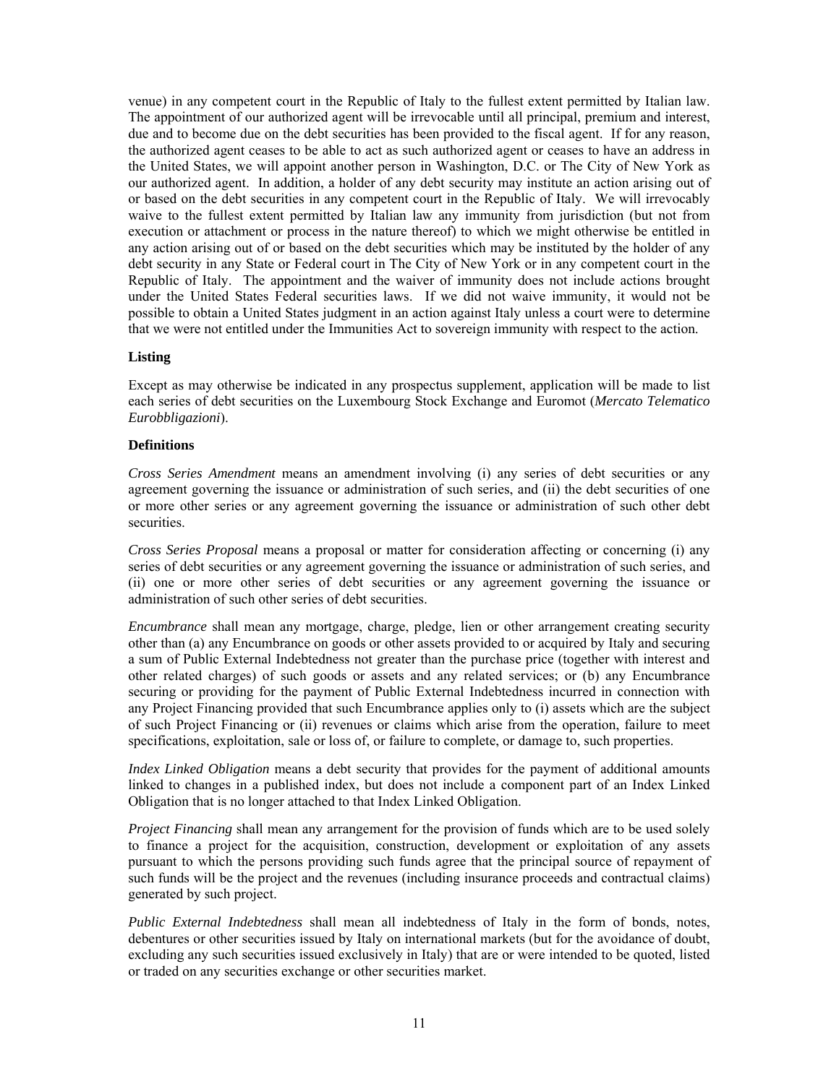venue) in any competent court in the Republic of Italy to the fullest extent permitted by Italian law. The appointment of our authorized agent will be irrevocable until all principal, premium and interest, due and to become due on the debt securities has been provided to the fiscal agent. If for any reason, the authorized agent ceases to be able to act as such authorized agent or ceases to have an address in the United States, we will appoint another person in Washington, D.C. or The City of New York as our authorized agent. In addition, a holder of any debt security may institute an action arising out of or based on the debt securities in any competent court in the Republic of Italy. We will irrevocably waive to the fullest extent permitted by Italian law any immunity from jurisdiction (but not from execution or attachment or process in the nature thereof) to which we might otherwise be entitled in any action arising out of or based on the debt securities which may be instituted by the holder of any debt security in any State or Federal court in The City of New York or in any competent court in the Republic of Italy. The appointment and the waiver of immunity does not include actions brought under the United States Federal securities laws. If we did not waive immunity, it would not be possible to obtain a United States judgment in an action against Italy unless a court were to determine that we were not entitled under the Immunities Act to sovereign immunity with respect to the action.

# **Listing**

Except as may otherwise be indicated in any prospectus supplement, application will be made to list each series of debt securities on the Luxembourg Stock Exchange and Euromot (*Mercato Telematico Eurobbligazioni*).

#### **Definitions**

*Cross Series Amendment* means an amendment involving (i) any series of debt securities or any agreement governing the issuance or administration of such series, and (ii) the debt securities of one or more other series or any agreement governing the issuance or administration of such other debt securities.

*Cross Series Proposal* means a proposal or matter for consideration affecting or concerning (i) any series of debt securities or any agreement governing the issuance or administration of such series, and (ii) one or more other series of debt securities or any agreement governing the issuance or administration of such other series of debt securities.

*Encumbrance* shall mean any mortgage, charge, pledge, lien or other arrangement creating security other than (a) any Encumbrance on goods or other assets provided to or acquired by Italy and securing a sum of Public External Indebtedness not greater than the purchase price (together with interest and other related charges) of such goods or assets and any related services; or (b) any Encumbrance securing or providing for the payment of Public External Indebtedness incurred in connection with any Project Financing provided that such Encumbrance applies only to (i) assets which are the subject of such Project Financing or (ii) revenues or claims which arise from the operation, failure to meet specifications, exploitation, sale or loss of, or failure to complete, or damage to, such properties.

*Index Linked Obligation* means a debt security that provides for the payment of additional amounts linked to changes in a published index, but does not include a component part of an Index Linked Obligation that is no longer attached to that Index Linked Obligation.

*Project Financing* shall mean any arrangement for the provision of funds which are to be used solely to finance a project for the acquisition, construction, development or exploitation of any assets pursuant to which the persons providing such funds agree that the principal source of repayment of such funds will be the project and the revenues (including insurance proceeds and contractual claims) generated by such project.

*Public External Indebtedness* shall mean all indebtedness of Italy in the form of bonds, notes, debentures or other securities issued by Italy on international markets (but for the avoidance of doubt, excluding any such securities issued exclusively in Italy) that are or were intended to be quoted, listed or traded on any securities exchange or other securities market.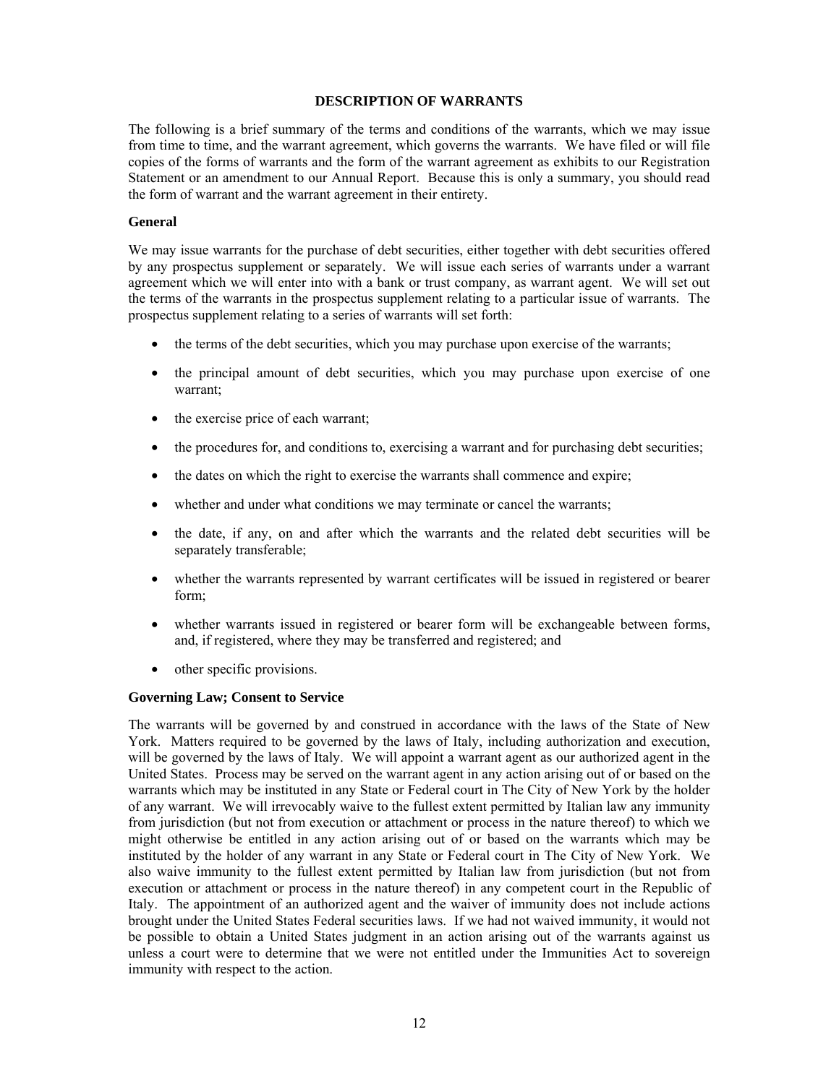### **DESCRIPTION OF WARRANTS**

The following is a brief summary of the terms and conditions of the warrants, which we may issue from time to time, and the warrant agreement, which governs the warrants. We have filed or will file copies of the forms of warrants and the form of the warrant agreement as exhibits to our Registration Statement or an amendment to our Annual Report. Because this is only a summary, you should read the form of warrant and the warrant agreement in their entirety.

#### **General**

We may issue warrants for the purchase of debt securities, either together with debt securities offered by any prospectus supplement or separately. We will issue each series of warrants under a warrant agreement which we will enter into with a bank or trust company, as warrant agent. We will set out the terms of the warrants in the prospectus supplement relating to a particular issue of warrants. The prospectus supplement relating to a series of warrants will set forth:

- the terms of the debt securities, which you may purchase upon exercise of the warrants;
- the principal amount of debt securities, which you may purchase upon exercise of one warrant;
- the exercise price of each warrant;
- the procedures for, and conditions to, exercising a warrant and for purchasing debt securities;
- the dates on which the right to exercise the warrants shall commence and expire;
- whether and under what conditions we may terminate or cancel the warrants;
- the date, if any, on and after which the warrants and the related debt securities will be separately transferable;
- whether the warrants represented by warrant certificates will be issued in registered or bearer form;
- whether warrants issued in registered or bearer form will be exchangeable between forms, and, if registered, where they may be transferred and registered; and
- other specific provisions.

# **Governing Law; Consent to Service**

The warrants will be governed by and construed in accordance with the laws of the State of New York. Matters required to be governed by the laws of Italy, including authorization and execution, will be governed by the laws of Italy. We will appoint a warrant agent as our authorized agent in the United States. Process may be served on the warrant agent in any action arising out of or based on the warrants which may be instituted in any State or Federal court in The City of New York by the holder of any warrant. We will irrevocably waive to the fullest extent permitted by Italian law any immunity from jurisdiction (but not from execution or attachment or process in the nature thereof) to which we might otherwise be entitled in any action arising out of or based on the warrants which may be instituted by the holder of any warrant in any State or Federal court in The City of New York. We also waive immunity to the fullest extent permitted by Italian law from jurisdiction (but not from execution or attachment or process in the nature thereof) in any competent court in the Republic of Italy. The appointment of an authorized agent and the waiver of immunity does not include actions brought under the United States Federal securities laws. If we had not waived immunity, it would not be possible to obtain a United States judgment in an action arising out of the warrants against us unless a court were to determine that we were not entitled under the Immunities Act to sovereign immunity with respect to the action.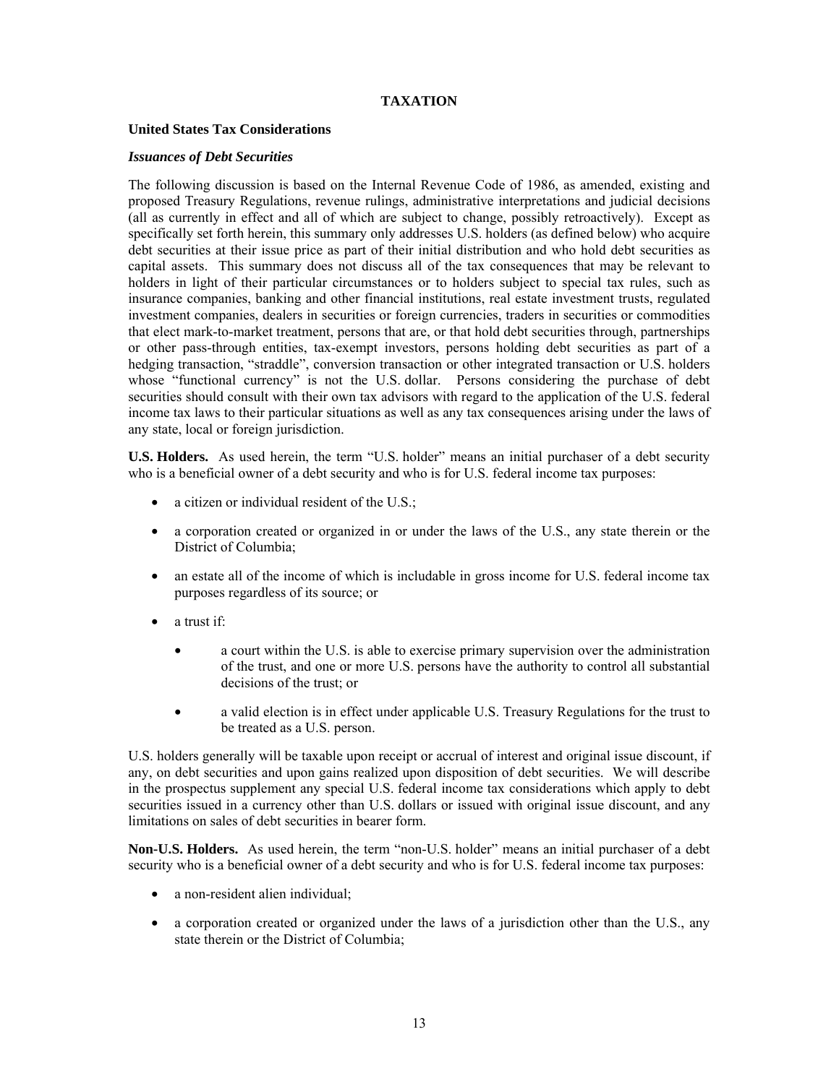# **TAXATION**

# **United States Tax Considerations**

### *Issuances of Debt Securities*

The following discussion is based on the Internal Revenue Code of 1986, as amended, existing and proposed Treasury Regulations, revenue rulings, administrative interpretations and judicial decisions (all as currently in effect and all of which are subject to change, possibly retroactively). Except as specifically set forth herein, this summary only addresses U.S. holders (as defined below) who acquire debt securities at their issue price as part of their initial distribution and who hold debt securities as capital assets. This summary does not discuss all of the tax consequences that may be relevant to holders in light of their particular circumstances or to holders subject to special tax rules, such as insurance companies, banking and other financial institutions, real estate investment trusts, regulated investment companies, dealers in securities or foreign currencies, traders in securities or commodities that elect mark-to-market treatment, persons that are, or that hold debt securities through, partnerships or other pass-through entities, tax-exempt investors, persons holding debt securities as part of a hedging transaction, "straddle", conversion transaction or other integrated transaction or U.S. holders whose "functional currency" is not the U.S. dollar. Persons considering the purchase of debt securities should consult with their own tax advisors with regard to the application of the U.S. federal income tax laws to their particular situations as well as any tax consequences arising under the laws of any state, local or foreign jurisdiction.

**U.S. Holders.** As used herein, the term "U.S. holder" means an initial purchaser of a debt security who is a beneficial owner of a debt security and who is for U.S. federal income tax purposes:

- a citizen or individual resident of the U.S.;
- a corporation created or organized in or under the laws of the U.S., any state therein or the District of Columbia;
- an estate all of the income of which is includable in gross income for U.S. federal income tax purposes regardless of its source; or
- a trust if:
	- a court within the U.S. is able to exercise primary supervision over the administration of the trust, and one or more U.S. persons have the authority to control all substantial decisions of the trust; or
	- a valid election is in effect under applicable U.S. Treasury Regulations for the trust to be treated as a U.S. person.

U.S. holders generally will be taxable upon receipt or accrual of interest and original issue discount, if any, on debt securities and upon gains realized upon disposition of debt securities. We will describe in the prospectus supplement any special U.S. federal income tax considerations which apply to debt securities issued in a currency other than U.S. dollars or issued with original issue discount, and any limitations on sales of debt securities in bearer form.

**Non-U.S. Holders.** As used herein, the term "non-U.S. holder" means an initial purchaser of a debt security who is a beneficial owner of a debt security and who is for U.S. federal income tax purposes:

- a non-resident alien individual;
- a corporation created or organized under the laws of a jurisdiction other than the U.S., any state therein or the District of Columbia;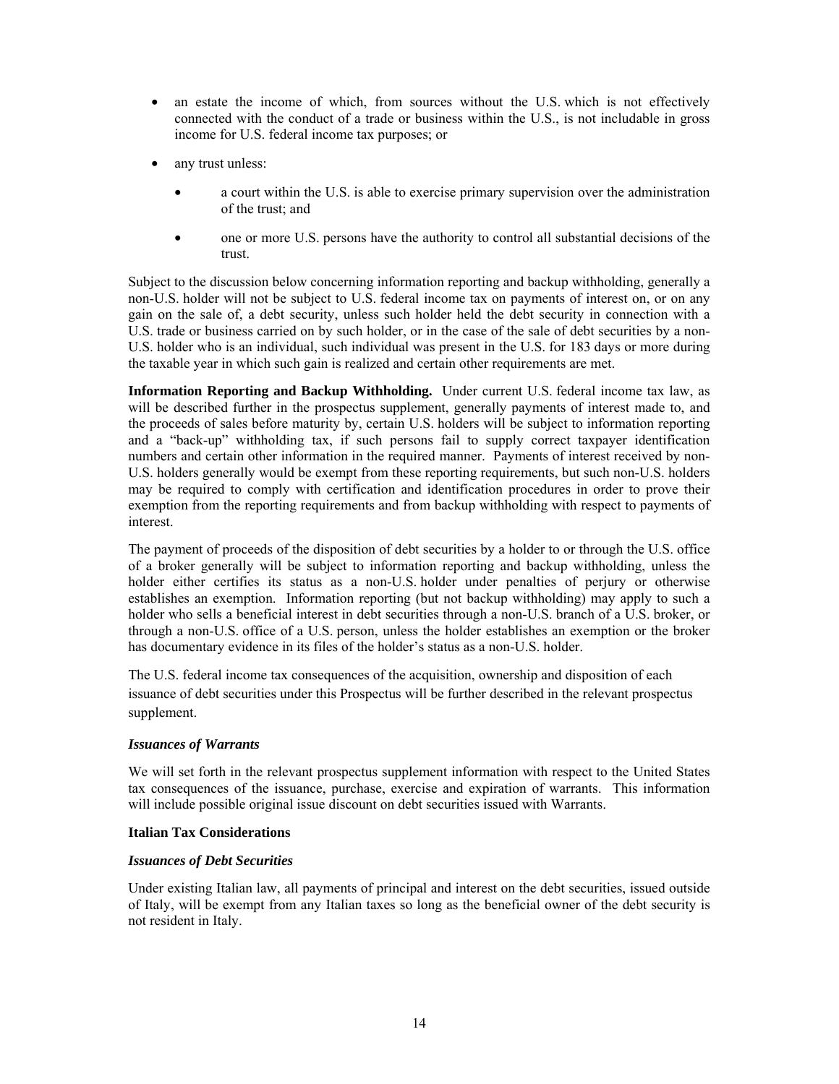- an estate the income of which, from sources without the U.S. which is not effectively connected with the conduct of a trade or business within the U.S., is not includable in gross income for U.S. federal income tax purposes; or
- any trust unless:
	- a court within the U.S. is able to exercise primary supervision over the administration of the trust; and
	- one or more U.S. persons have the authority to control all substantial decisions of the trust.

Subject to the discussion below concerning information reporting and backup withholding, generally a non-U.S. holder will not be subject to U.S. federal income tax on payments of interest on, or on any gain on the sale of, a debt security, unless such holder held the debt security in connection with a U.S. trade or business carried on by such holder, or in the case of the sale of debt securities by a non-U.S. holder who is an individual, such individual was present in the U.S. for 183 days or more during the taxable year in which such gain is realized and certain other requirements are met.

**Information Reporting and Backup Withholding.** Under current U.S. federal income tax law, as will be described further in the prospectus supplement, generally payments of interest made to, and the proceeds of sales before maturity by, certain U.S. holders will be subject to information reporting and a "back-up" withholding tax, if such persons fail to supply correct taxpayer identification numbers and certain other information in the required manner. Payments of interest received by non-U.S. holders generally would be exempt from these reporting requirements, but such non-U.S. holders may be required to comply with certification and identification procedures in order to prove their exemption from the reporting requirements and from backup withholding with respect to payments of interest.

The payment of proceeds of the disposition of debt securities by a holder to or through the U.S. office of a broker generally will be subject to information reporting and backup withholding, unless the holder either certifies its status as a non-U.S. holder under penalties of perjury or otherwise establishes an exemption. Information reporting (but not backup withholding) may apply to such a holder who sells a beneficial interest in debt securities through a non-U.S. branch of a U.S. broker, or through a non-U.S. office of a U.S. person, unless the holder establishes an exemption or the broker has documentary evidence in its files of the holder's status as a non-U.S. holder.

The U.S. federal income tax consequences of the acquisition, ownership and disposition of each issuance of debt securities under this Prospectus will be further described in the relevant prospectus supplement.

# *Issuances of Warrants*

We will set forth in the relevant prospectus supplement information with respect to the United States tax consequences of the issuance, purchase, exercise and expiration of warrants. This information will include possible original issue discount on debt securities issued with Warrants.

# **Italian Tax Considerations**

# *Issuances of Debt Securities*

Under existing Italian law, all payments of principal and interest on the debt securities, issued outside of Italy, will be exempt from any Italian taxes so long as the beneficial owner of the debt security is not resident in Italy.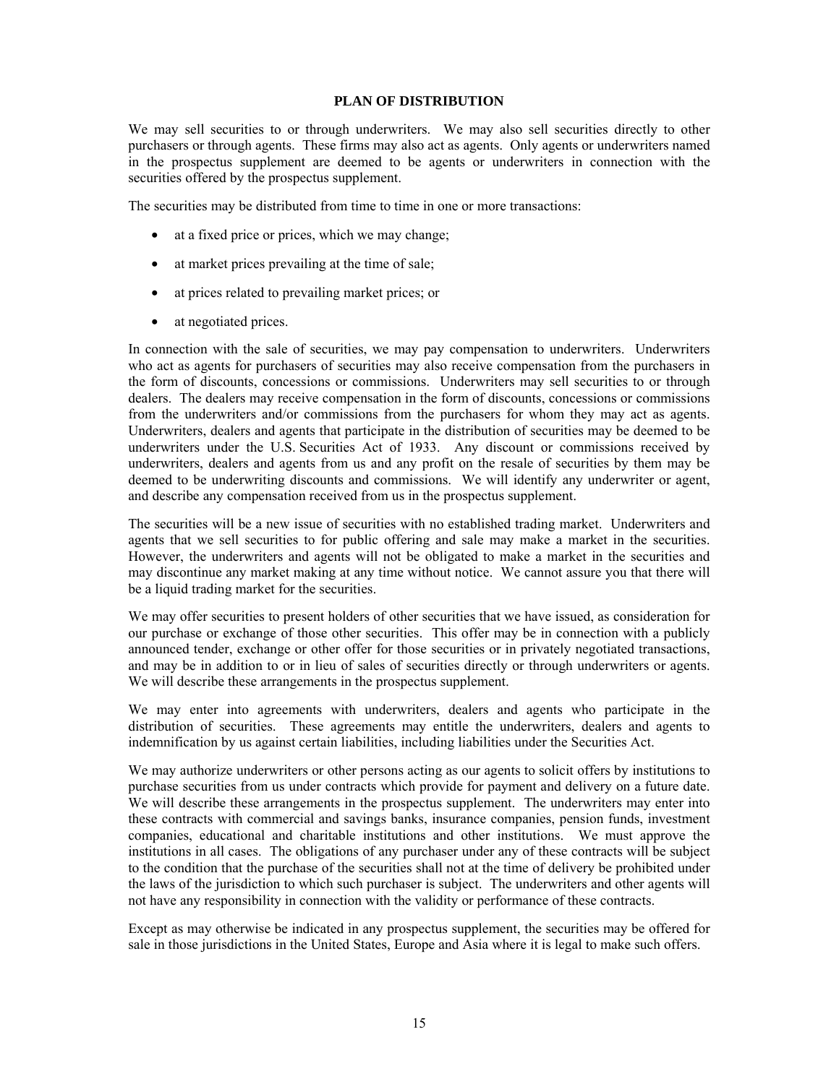#### **PLAN OF DISTRIBUTION**

We may sell securities to or through underwriters. We may also sell securities directly to other purchasers or through agents. These firms may also act as agents. Only agents or underwriters named in the prospectus supplement are deemed to be agents or underwriters in connection with the securities offered by the prospectus supplement.

The securities may be distributed from time to time in one or more transactions:

- at a fixed price or prices, which we may change;
- at market prices prevailing at the time of sale;
- at prices related to prevailing market prices; or
- at negotiated prices.

In connection with the sale of securities, we may pay compensation to underwriters. Underwriters who act as agents for purchasers of securities may also receive compensation from the purchasers in the form of discounts, concessions or commissions. Underwriters may sell securities to or through dealers. The dealers may receive compensation in the form of discounts, concessions or commissions from the underwriters and/or commissions from the purchasers for whom they may act as agents. Underwriters, dealers and agents that participate in the distribution of securities may be deemed to be underwriters under the U.S. Securities Act of 1933. Any discount or commissions received by underwriters, dealers and agents from us and any profit on the resale of securities by them may be deemed to be underwriting discounts and commissions. We will identify any underwriter or agent, and describe any compensation received from us in the prospectus supplement.

The securities will be a new issue of securities with no established trading market. Underwriters and agents that we sell securities to for public offering and sale may make a market in the securities. However, the underwriters and agents will not be obligated to make a market in the securities and may discontinue any market making at any time without notice. We cannot assure you that there will be a liquid trading market for the securities.

We may offer securities to present holders of other securities that we have issued, as consideration for our purchase or exchange of those other securities. This offer may be in connection with a publicly announced tender, exchange or other offer for those securities or in privately negotiated transactions, and may be in addition to or in lieu of sales of securities directly or through underwriters or agents. We will describe these arrangements in the prospectus supplement.

We may enter into agreements with underwriters, dealers and agents who participate in the distribution of securities. These agreements may entitle the underwriters, dealers and agents to indemnification by us against certain liabilities, including liabilities under the Securities Act.

We may authorize underwriters or other persons acting as our agents to solicit offers by institutions to purchase securities from us under contracts which provide for payment and delivery on a future date. We will describe these arrangements in the prospectus supplement. The underwriters may enter into these contracts with commercial and savings banks, insurance companies, pension funds, investment companies, educational and charitable institutions and other institutions. We must approve the institutions in all cases. The obligations of any purchaser under any of these contracts will be subject to the condition that the purchase of the securities shall not at the time of delivery be prohibited under the laws of the jurisdiction to which such purchaser is subject. The underwriters and other agents will not have any responsibility in connection with the validity or performance of these contracts.

Except as may otherwise be indicated in any prospectus supplement, the securities may be offered for sale in those jurisdictions in the United States, Europe and Asia where it is legal to make such offers.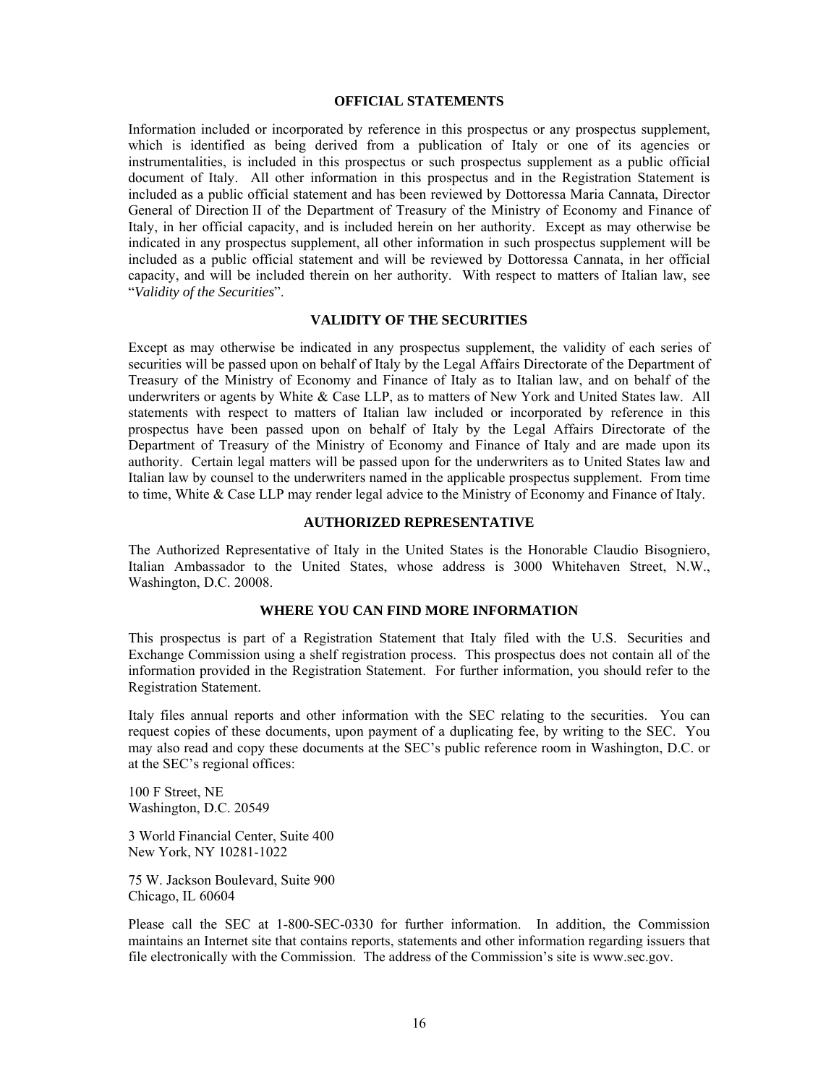# **OFFICIAL STATEMENTS**

Information included or incorporated by reference in this prospectus or any prospectus supplement, which is identified as being derived from a publication of Italy or one of its agencies or instrumentalities, is included in this prospectus or such prospectus supplement as a public official document of Italy. All other information in this prospectus and in the Registration Statement is included as a public official statement and has been reviewed by Dottoressa Maria Cannata, Director General of Direction II of the Department of Treasury of the Ministry of Economy and Finance of Italy, in her official capacity, and is included herein on her authority. Except as may otherwise be indicated in any prospectus supplement, all other information in such prospectus supplement will be included as a public official statement and will be reviewed by Dottoressa Cannata, in her official capacity, and will be included therein on her authority. With respect to matters of Italian law, see "*Validity of the Securities*".

# **VALIDITY OF THE SECURITIES**

Except as may otherwise be indicated in any prospectus supplement, the validity of each series of securities will be passed upon on behalf of Italy by the Legal Affairs Directorate of the Department of Treasury of the Ministry of Economy and Finance of Italy as to Italian law, and on behalf of the underwriters or agents by White  $\&$  Case LLP, as to matters of New York and United States law. All statements with respect to matters of Italian law included or incorporated by reference in this prospectus have been passed upon on behalf of Italy by the Legal Affairs Directorate of the Department of Treasury of the Ministry of Economy and Finance of Italy and are made upon its authority. Certain legal matters will be passed upon for the underwriters as to United States law and Italian law by counsel to the underwriters named in the applicable prospectus supplement. From time to time, White & Case LLP may render legal advice to the Ministry of Economy and Finance of Italy.

# **AUTHORIZED REPRESENTATIVE**

The Authorized Representative of Italy in the United States is the Honorable Claudio Bisogniero, Italian Ambassador to the United States, whose address is 3000 Whitehaven Street, N.W., Washington, D.C. 20008.

# **WHERE YOU CAN FIND MORE INFORMATION**

This prospectus is part of a Registration Statement that Italy filed with the U.S. Securities and Exchange Commission using a shelf registration process. This prospectus does not contain all of the information provided in the Registration Statement. For further information, you should refer to the Registration Statement.

Italy files annual reports and other information with the SEC relating to the securities. You can request copies of these documents, upon payment of a duplicating fee, by writing to the SEC. You may also read and copy these documents at the SEC's public reference room in Washington, D.C. or at the SEC's regional offices:

100 F Street, NE Washington, D.C. 20549

3 World Financial Center, Suite 400 New York, NY 10281-1022

75 W. Jackson Boulevard, Suite 900 Chicago, IL 60604

Please call the SEC at 1-800-SEC-0330 for further information. In addition, the Commission maintains an Internet site that contains reports, statements and other information regarding issuers that file electronically with the Commission. The address of the Commission's site is www.sec.gov.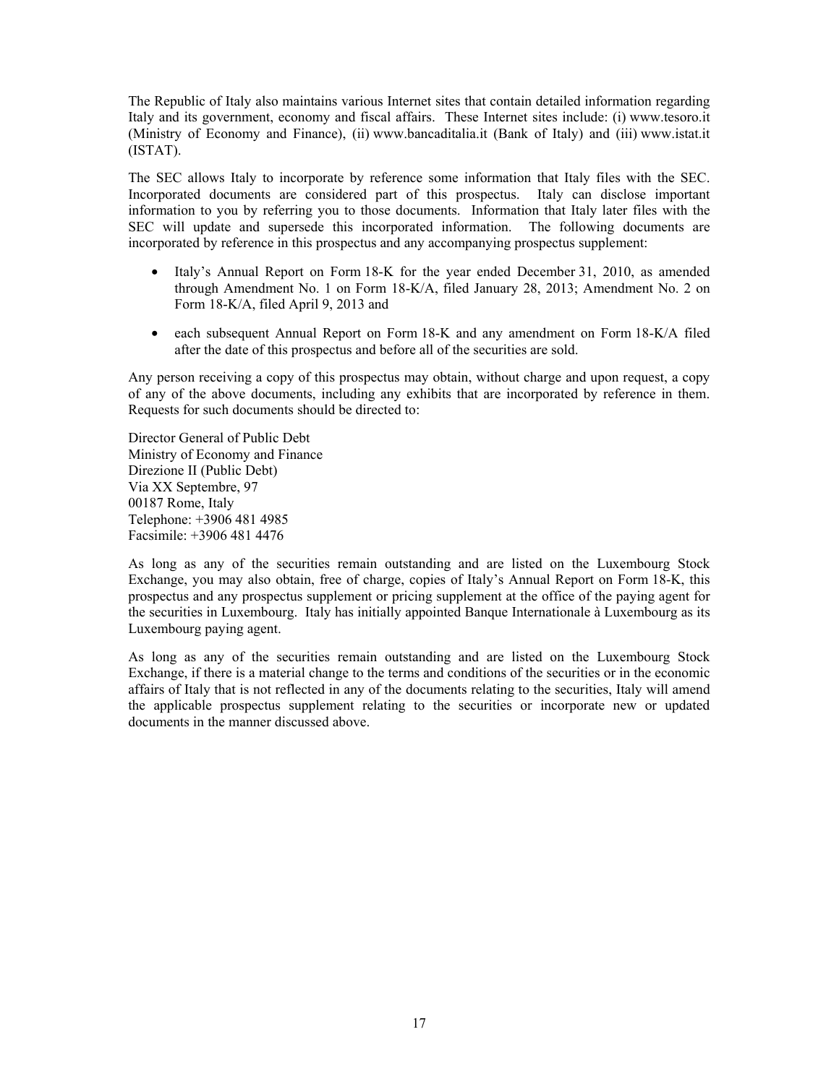The Republic of Italy also maintains various Internet sites that contain detailed information regarding Italy and its government, economy and fiscal affairs. These Internet sites include: (i) www.tesoro.it (Ministry of Economy and Finance), (ii) www.bancaditalia.it (Bank of Italy) and (iii) www.istat.it (ISTAT).

The SEC allows Italy to incorporate by reference some information that Italy files with the SEC. Incorporated documents are considered part of this prospectus. Italy can disclose important information to you by referring you to those documents. Information that Italy later files with the SEC will update and supersede this incorporated information. The following documents are incorporated by reference in this prospectus and any accompanying prospectus supplement:

- Italy's Annual Report on Form 18-K for the year ended December 31, 2010, as amended through Amendment No. 1 on Form 18-K/A, filed January 28, 2013; Amendment No. 2 on Form 18-K/A, filed April 9, 2013 and
- each subsequent Annual Report on Form 18-K and any amendment on Form 18-K/A filed after the date of this prospectus and before all of the securities are sold.

Any person receiving a copy of this prospectus may obtain, without charge and upon request, a copy of any of the above documents, including any exhibits that are incorporated by reference in them. Requests for such documents should be directed to:

Director General of Public Debt Ministry of Economy and Finance Direzione II (Public Debt) Via XX Septembre, 97 00187 Rome, Italy Telephone: +3906 481 4985 Facsimile: +3906 481 4476

As long as any of the securities remain outstanding and are listed on the Luxembourg Stock Exchange, you may also obtain, free of charge, copies of Italy's Annual Report on Form 18-K, this prospectus and any prospectus supplement or pricing supplement at the office of the paying agent for the securities in Luxembourg. Italy has initially appointed Banque Internationale à Luxembourg as its Luxembourg paying agent.

As long as any of the securities remain outstanding and are listed on the Luxembourg Stock Exchange, if there is a material change to the terms and conditions of the securities or in the economic affairs of Italy that is not reflected in any of the documents relating to the securities, Italy will amend the applicable prospectus supplement relating to the securities or incorporate new or updated documents in the manner discussed above.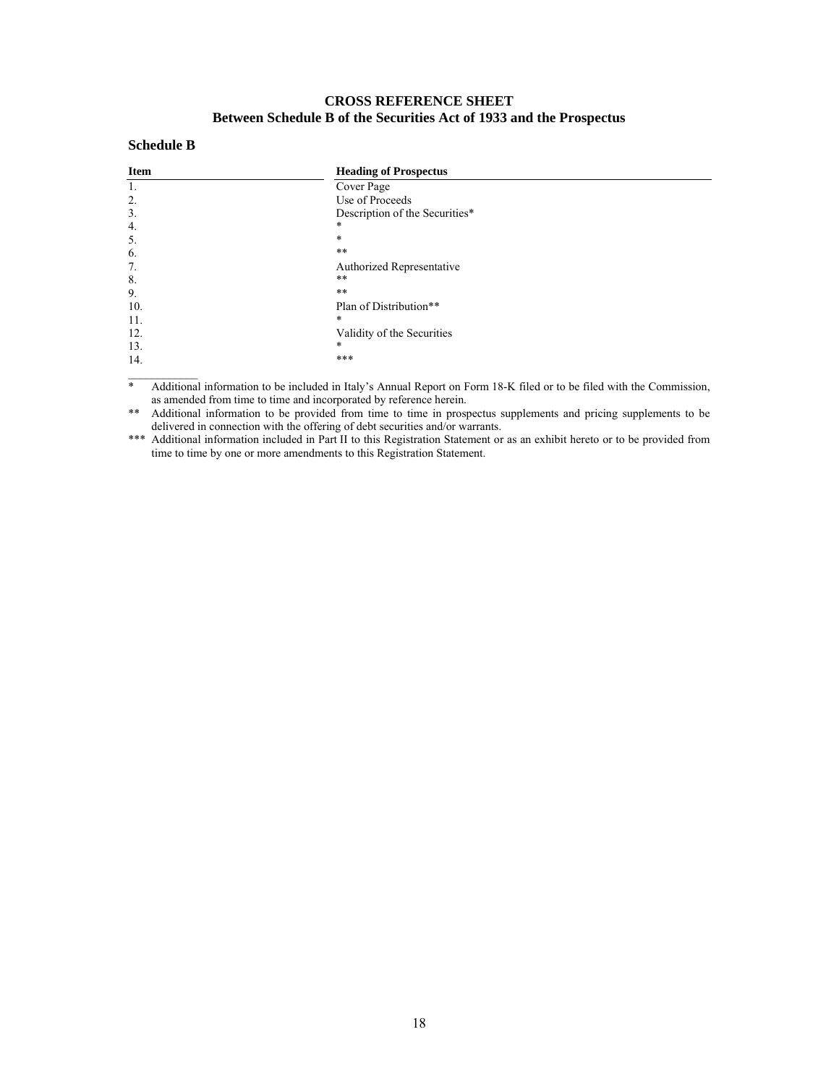# **CROSS REFERENCE SHEET Between Schedule B of the Securities Act of 1933 and the Prospectus**

# **Schedule B**

| <b>Item</b> | <b>Heading of Prospectus</b>   |  |
|-------------|--------------------------------|--|
| 1.          | Cover Page                     |  |
| 2.          | Use of Proceeds                |  |
| 3.          | Description of the Securities* |  |
| 4.          | *                              |  |
| 5.          | $\ast$                         |  |
| 6.          | $***$                          |  |
| 7.          | Authorized Representative      |  |
| 8.          | $***$                          |  |
| 9.          | $***$                          |  |
| 10.         | Plan of Distribution**         |  |
| 11.         | *                              |  |
| 12.         | Validity of the Securities     |  |
| 13.         | *                              |  |
| 14.         | ***                            |  |
|             |                                |  |

\* Additional information to be included in Italy's Annual Report on Form 18-K filed or to be filed with the Commission, as amended from time to time and incorporated by reference herein.

\*\* Additional information to be provided from time to time in prospectus supplements and pricing supplements to be delivered in connection with the offering of debt securities and/or warrants.

\*\*\* Additional information included in Part II to this Registration Statement or as an exhibit hereto or to be provided from time to time by one or more amendments to this Registration Statement.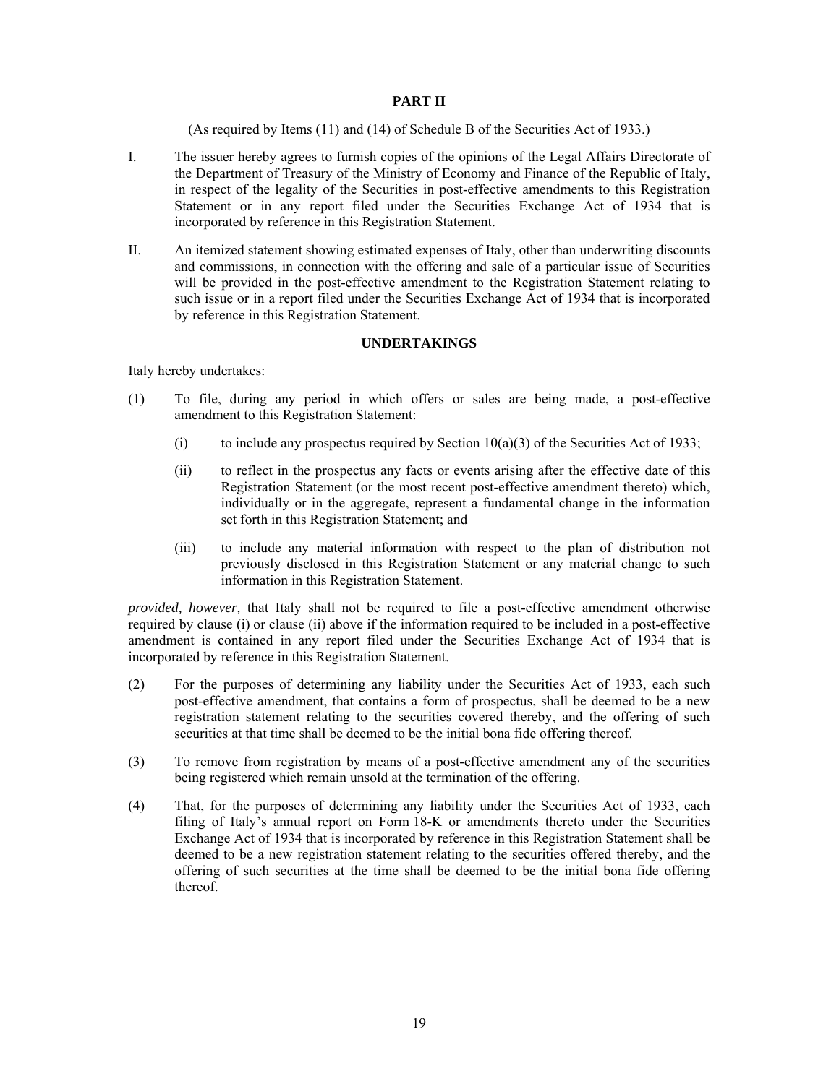# **PART II**

(As required by Items (11) and (14) of Schedule B of the Securities Act of 1933.)

- I. The issuer hereby agrees to furnish copies of the opinions of the Legal Affairs Directorate of the Department of Treasury of the Ministry of Economy and Finance of the Republic of Italy, in respect of the legality of the Securities in post-effective amendments to this Registration Statement or in any report filed under the Securities Exchange Act of 1934 that is incorporated by reference in this Registration Statement.
- II. An itemized statement showing estimated expenses of Italy, other than underwriting discounts and commissions, in connection with the offering and sale of a particular issue of Securities will be provided in the post-effective amendment to the Registration Statement relating to such issue or in a report filed under the Securities Exchange Act of 1934 that is incorporated by reference in this Registration Statement.

# **UNDERTAKINGS**

Italy hereby undertakes:

- (1) To file, during any period in which offers or sales are being made, a post-effective amendment to this Registration Statement:
	- (i) to include any prospectus required by Section  $10(a)(3)$  of the Securities Act of 1933;
	- (ii) to reflect in the prospectus any facts or events arising after the effective date of this Registration Statement (or the most recent post-effective amendment thereto) which, individually or in the aggregate, represent a fundamental change in the information set forth in this Registration Statement; and
	- (iii) to include any material information with respect to the plan of distribution not previously disclosed in this Registration Statement or any material change to such information in this Registration Statement.

*provided, however,* that Italy shall not be required to file a post-effective amendment otherwise required by clause (i) or clause (ii) above if the information required to be included in a post-effective amendment is contained in any report filed under the Securities Exchange Act of 1934 that is incorporated by reference in this Registration Statement.

- (2) For the purposes of determining any liability under the Securities Act of 1933, each such post-effective amendment, that contains a form of prospectus, shall be deemed to be a new registration statement relating to the securities covered thereby, and the offering of such securities at that time shall be deemed to be the initial bona fide offering thereof.
- (3) To remove from registration by means of a post-effective amendment any of the securities being registered which remain unsold at the termination of the offering.
- (4) That, for the purposes of determining any liability under the Securities Act of 1933, each filing of Italy's annual report on Form 18-K or amendments thereto under the Securities Exchange Act of 1934 that is incorporated by reference in this Registration Statement shall be deemed to be a new registration statement relating to the securities offered thereby, and the offering of such securities at the time shall be deemed to be the initial bona fide offering thereof.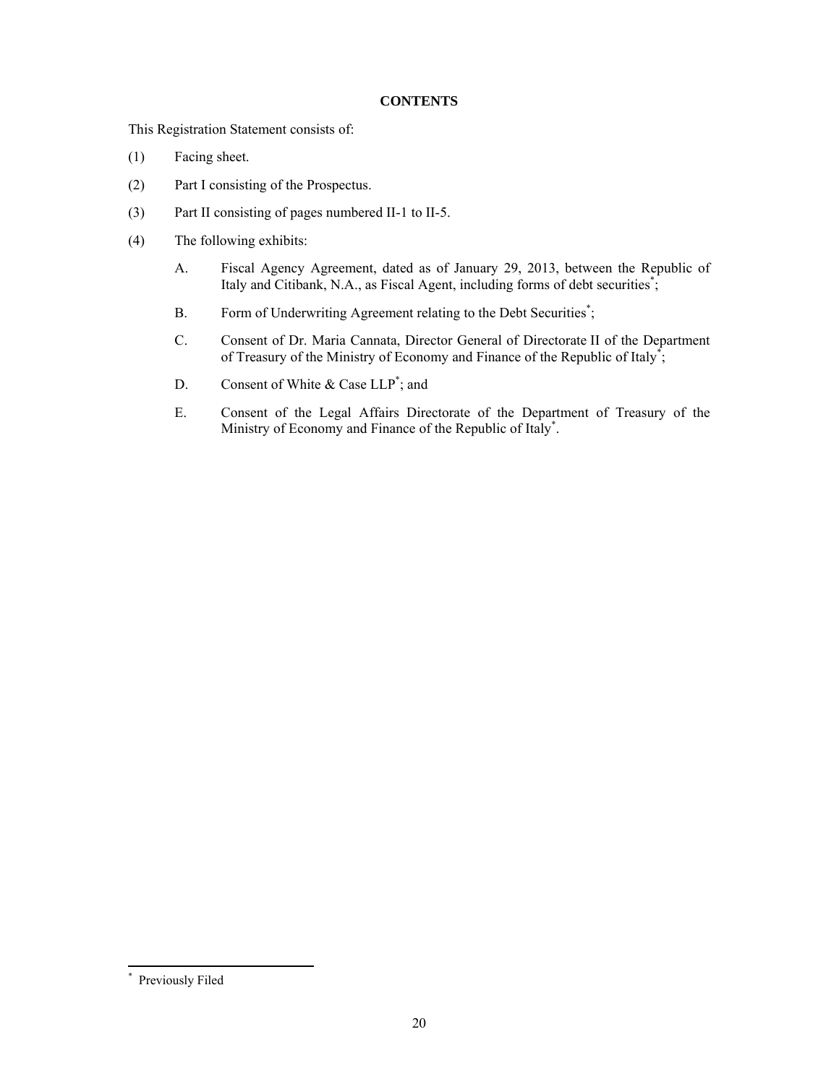# **CONTENTS**

This Registration Statement consists of:

- (1) Facing sheet.
- (2) Part I consisting of the Prospectus.
- (3) Part II consisting of pages numbered II-1 to II-5.
- (4) The following exhibits:
	- A. Fiscal Agency Agreement, dated as of January 29, 2013, between the Republic of Italy and Citibank, N.A., as Fiscal Agent, including forms of debt securities<sup>\*</sup>;
	- B. Form of Underwriting Agreement relating to the Debt Securities<sup>\*</sup>;
	- C. Consent of Dr. Maria Cannata, Director General of Directorate II of the Department of Treasury of the Ministry of Economy and Finance of the Republic of Italy<sup>\*</sup>;
	- D. Consent of White  $& Case LLP^*$ ; and
	- E. Consent of the Legal Affairs Directorate of the Department of Treasury of the Ministry of Economy and Finance of the Republic of Italy\*.

 $\overline{a}$ 

<sup>\*</sup> Previously Filed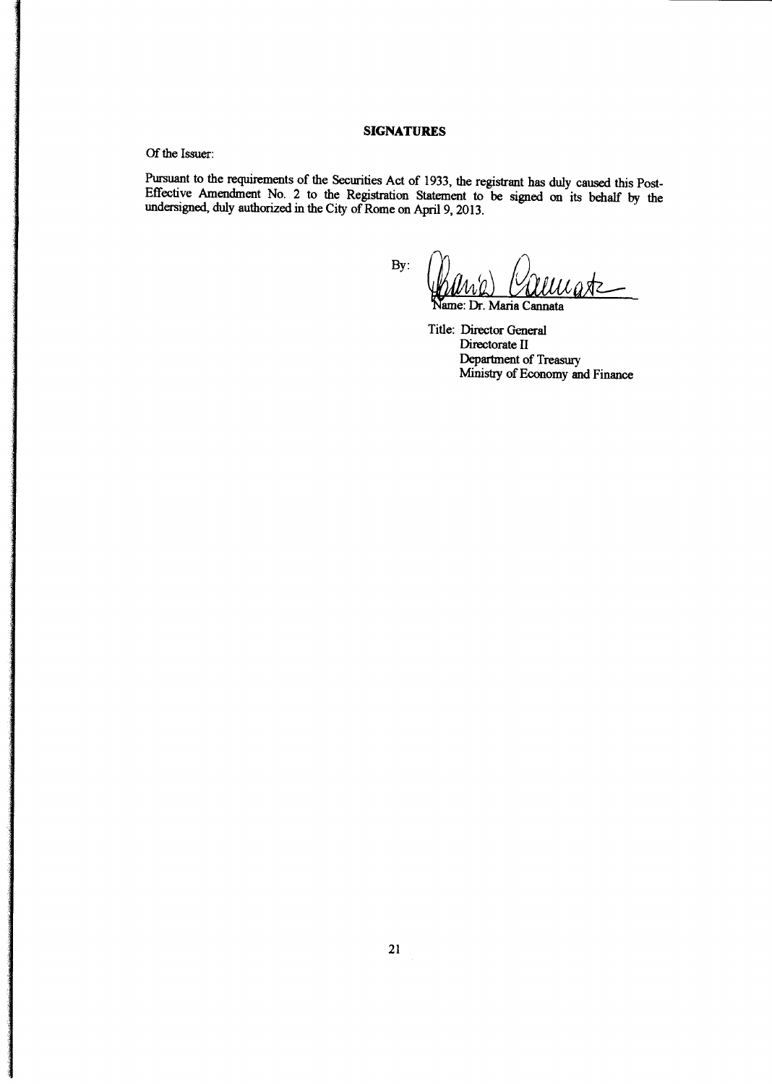#### **SIGNATURES**

Of the Issuer:

Pursuant to the requirements of the Securities Act of 1933, the registrant has duly caused this Post-<br>Effective Amendment No. 2 to the Registration Statement to be signed on its behalf by the undersigned, duly authorized i

By:

 $u$ astz —

ame: Dr. Maria Cannata

Title: Director General Directorate II Department of Treasury Ministry of Economy and Finance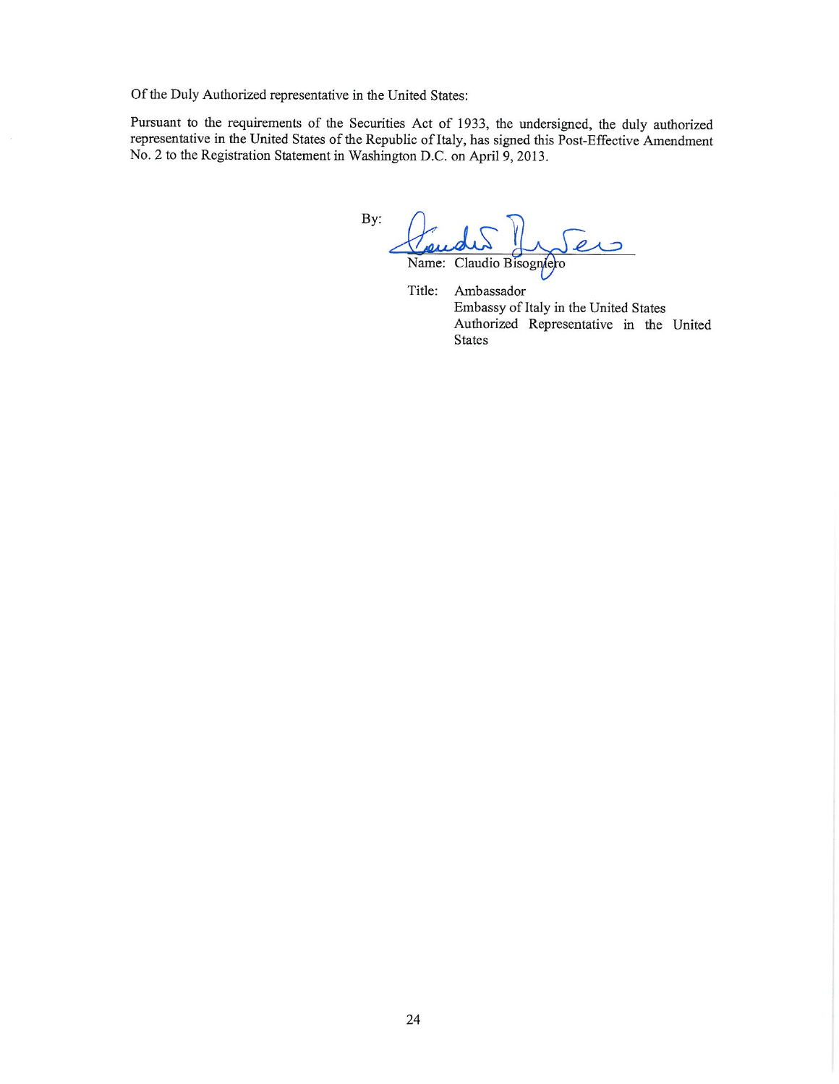Of the Duly Authorized representative in the United States:

Pursuant to the requirements of the Securities Act of 1933, the undersigned, the duly authorized representative in the United States of the Republic of Italy, has signed this Post-Effective Amendment No. 2 to the Registration Statement in Washington D.C. on April 9, 2013.

By: Name: Claudio Bisogniero

Title: Ambassador Embassy of Italy in the United States Authorized Representative in the United **States**